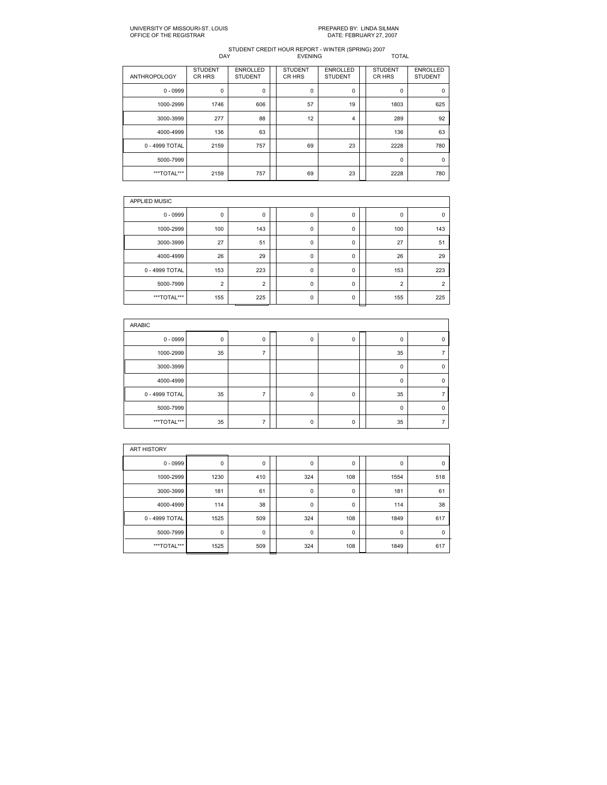# PREPARED BY: LINDA SILMAN<br>DATE: FEBRUARY 27, 2007

| <b>ENROLLED</b><br><b>STUDENT</b><br><b>ENROLLED</b><br><b>STUDENT</b><br><b>STUDENT</b><br><b>ANTHROPOLOGY</b><br>CR HRS<br>CR HRS<br>CR HRS<br><b>STUDENT</b><br><b>STUDENT</b><br>$0 - 0999$<br>0<br>0<br>0<br>0<br>0<br>606<br>57<br>19<br>1803<br>1000-2999<br>1746<br>88<br>12<br>277<br>289<br>3000-3999<br>4<br>63<br>136<br>136<br>4000-4999<br>23<br>757<br>69<br>0 - 4999 TOTAL<br>2159<br>2228<br>5000-7999<br>$\mathbf 0$<br>23<br>757<br>69<br>2228<br>***TOTAL***<br>2159 |  |  |  |  |                                   |
|------------------------------------------------------------------------------------------------------------------------------------------------------------------------------------------------------------------------------------------------------------------------------------------------------------------------------------------------------------------------------------------------------------------------------------------------------------------------------------------|--|--|--|--|-----------------------------------|
|                                                                                                                                                                                                                                                                                                                                                                                                                                                                                          |  |  |  |  | <b>ENROLLED</b><br><b>STUDENT</b> |
|                                                                                                                                                                                                                                                                                                                                                                                                                                                                                          |  |  |  |  | $\mathbf 0$                       |
|                                                                                                                                                                                                                                                                                                                                                                                                                                                                                          |  |  |  |  | 625                               |
|                                                                                                                                                                                                                                                                                                                                                                                                                                                                                          |  |  |  |  | 92                                |
|                                                                                                                                                                                                                                                                                                                                                                                                                                                                                          |  |  |  |  | 63                                |
|                                                                                                                                                                                                                                                                                                                                                                                                                                                                                          |  |  |  |  | 780                               |
|                                                                                                                                                                                                                                                                                                                                                                                                                                                                                          |  |  |  |  | $\mathbf 0$                       |
|                                                                                                                                                                                                                                                                                                                                                                                                                                                                                          |  |  |  |  | 780                               |

| <b>APPLIED MUSIC</b> |                |                |  |   |   |  |                |                |  |  |  |  |
|----------------------|----------------|----------------|--|---|---|--|----------------|----------------|--|--|--|--|
| $0 - 0999$           | 0              | 0              |  | 0 | 0 |  | $\Omega$       | $\Omega$       |  |  |  |  |
| 1000-2999            | 100            | 143            |  | 0 | 0 |  | 100            | 143            |  |  |  |  |
| 3000-3999            | 27             | 51             |  | 0 | 0 |  | 27             | 51             |  |  |  |  |
| 4000-4999            | 26             | 29             |  | 0 | 0 |  | 26             | 29             |  |  |  |  |
| 0 - 4999 TOTAL       | 153            | 223            |  | 0 | 0 |  | 153            | 223            |  |  |  |  |
| 5000-7999            | $\overline{2}$ | $\overline{2}$ |  | 0 | 0 |  | $\overline{2}$ | $\overline{2}$ |  |  |  |  |
| ***TOTAL***          | 155            | 225            |  | 0 | 0 |  | 155            | 225            |  |  |  |  |

| ARABIC         |             |   |  |          |   |  |          |  |  |  |  |
|----------------|-------------|---|--|----------|---|--|----------|--|--|--|--|
| $0 - 0999$     | $\mathbf 0$ | 0 |  | 0        | 0 |  | 0        |  |  |  |  |
| 1000-2999      | 35          |   |  |          |   |  | 35       |  |  |  |  |
| 3000-3999      |             |   |  |          |   |  | 0        |  |  |  |  |
| 4000-4999      |             |   |  |          |   |  | $\Omega$ |  |  |  |  |
| 0 - 4999 TOTAL | 35          |   |  | $\Omega$ | 0 |  | 35       |  |  |  |  |
| 5000-7999      |             |   |  |          |   |  | 0        |  |  |  |  |
| ***TOTAL***    | 35          |   |  | $\Omega$ | 0 |  | 35       |  |  |  |  |

| <b>ART HISTORY</b> |      |             |  |             |     |  |             |             |  |  |  |  |
|--------------------|------|-------------|--|-------------|-----|--|-------------|-------------|--|--|--|--|
| $0 - 0999$         | 0    | 0           |  | 0           | 0   |  | 0           | 0           |  |  |  |  |
| 1000-2999          | 1230 | 410         |  | 324         | 108 |  | 1554        | 518         |  |  |  |  |
| 3000-3999          | 181  | 61          |  | $\mathbf 0$ | 0   |  | 181         | 61          |  |  |  |  |
| 4000-4999          | 114  | 38          |  | 0           | 0   |  | 114         | 38          |  |  |  |  |
| 0 - 4999 TOTAL     | 1525 | 509         |  | 324         | 108 |  | 1849        | 617         |  |  |  |  |
| 5000-7999          | 0    | $\mathbf 0$ |  | $\mathbf 0$ | 0   |  | $\mathbf 0$ | $\mathbf 0$ |  |  |  |  |
| ***TOTAL***        | 1525 | 509         |  | 324         | 108 |  | 1849        | 617         |  |  |  |  |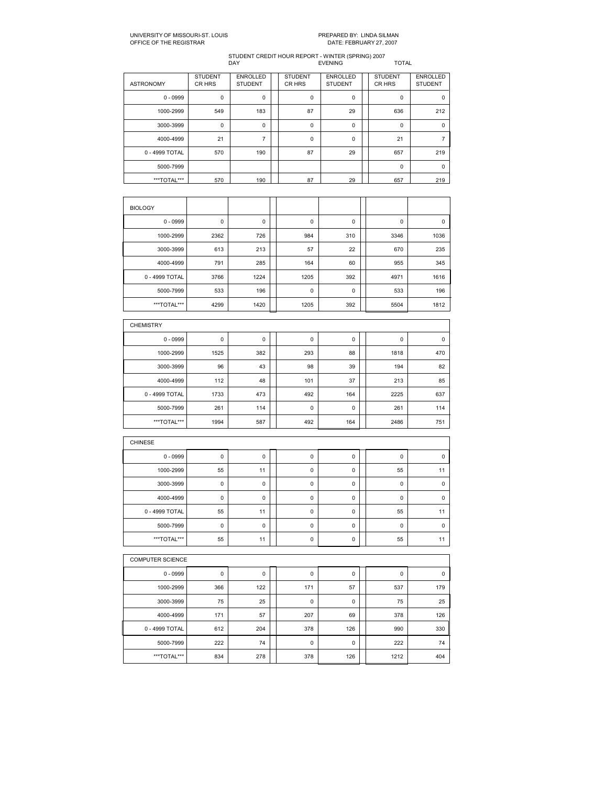## UNIVERSITY OF MISSOURIST. LOUIS PREPARED BY: LINDA SILMAN OFFICE OF THE REGISTRAR DATE: FEBRUARY 27, 2007

| <b>ASTRONOMY</b> | <b>STUDENT</b><br>CR HRS | <b>ENROLLED</b><br><b>STUDENT</b> | <b>STUDENT</b><br>CR HRS | <b>ENROLLED</b><br><b>STUDENT</b> | <b>STUDENT</b><br>CR HRS | <b>ENROLLED</b><br><b>STUDENT</b> |
|------------------|--------------------------|-----------------------------------|--------------------------|-----------------------------------|--------------------------|-----------------------------------|
| $0 - 0999$       | 0                        | 0                                 | $\mathbf 0$              | 0                                 | $\mathbf 0$              | $\Omega$                          |
| 1000-2999        | 549                      | 183                               | 87                       | 29                                | 636                      | 212                               |
| 3000-3999        | 0                        | 0                                 | $\Omega$                 | 0                                 | $\Omega$                 | $\Omega$                          |
| 4000-4999        | 21                       | $\overline{ }$                    | $\mathbf 0$              | 0                                 | 21                       |                                   |
| 0 - 4999 TOTAL   | 570                      | 190                               | 87                       | 29                                | 657                      | 219                               |
| 5000-7999        |                          |                                   |                          |                                   | $\Omega$                 | $\Omega$                          |
| ***TOTAL***      | 570                      | 190                               | 87                       | 29                                | 657                      | 219                               |

| <b>BIOLOGY</b> |      |      |             |     |      |      |
|----------------|------|------|-------------|-----|------|------|
| $0 - 0999$     | 0    | 0    | 0           | 0   | 0    | 0    |
| 1000-2999      | 2362 | 726  | 984         | 310 | 3346 | 1036 |
| 3000-3999      | 613  | 213  | 57          | 22  | 670  | 235  |
| 4000-4999      | 791  | 285  | 164         | 60  | 955  | 345  |
| 0 - 4999 TOTAL | 3766 | 1224 | 1205        | 392 | 4971 | 1616 |
| 5000-7999      | 533  | 196  | $\mathbf 0$ | 0   | 533  | 196  |
| ***TOTAL***    | 4299 | 1420 | 1205        | 392 | 5504 | 1812 |

| <b>CHEMISTRY</b> |      |     |     |             |      |     |
|------------------|------|-----|-----|-------------|------|-----|
| $0 - 0999$       | 0    | 0   | 0   | 0           | 0    | 0   |
| 1000-2999        | 1525 | 382 | 293 | 88          | 1818 | 470 |
| 3000-3999        | 96   | 43  | 98  | 39          | 194  | 82  |
| 4000-4999        | 112  | 48  | 101 | 37          | 213  | 85  |
| 0 - 4999 TOTAL   | 1733 | 473 | 492 | 164         | 2225 | 637 |
| 5000-7999        | 261  | 114 | 0   | $\mathbf 0$ | 261  | 114 |
| ***TOTAL***      | 1994 | 587 | 492 | 164         | 2486 | 751 |

| <b>CHINESE</b> |             |    |             |   |          |          |
|----------------|-------------|----|-------------|---|----------|----------|
|                |             |    |             |   |          |          |
| $0 - 0999$     | 0           | 0  | $\mathbf 0$ | 0 | 0        | 0        |
| 1000-2999      | 55          | 11 | $\mathbf 0$ | 0 | 55       | 11       |
| 3000-3999      | 0           | 0  | $\mathbf 0$ | 0 | 0        | $\Omega$ |
| 4000-4999      | 0           | 0  | 0           | 0 | 0        | $\Omega$ |
| 0 - 4999 TOTAL | 55          | 11 | $\mathbf 0$ | 0 | 55       | 11       |
| 5000-7999      | $\mathbf 0$ | 0  | 0           | 0 | $\Omega$ | $\Omega$ |
| ***TOTAL***    | 55          | 11 | 0           | 0 | 55       | 11       |

|                | <b>COMPUTER SCIENCE</b> |             |  |     |     |  |      |     |  |  |  |
|----------------|-------------------------|-------------|--|-----|-----|--|------|-----|--|--|--|
| $0 - 0999$     | 0                       | $\mathbf 0$ |  | 0   | 0   |  | 0    | 0   |  |  |  |
| 1000-2999      | 366                     | 122         |  | 171 | 57  |  | 537  | 179 |  |  |  |
| 3000-3999      | 75                      | 25          |  | 0   | 0   |  | 75   | 25  |  |  |  |
| 4000-4999      | 171                     | 57          |  | 207 | 69  |  | 378  | 126 |  |  |  |
| 0 - 4999 TOTAL | 612                     | 204         |  | 378 | 126 |  | 990  | 330 |  |  |  |
| 5000-7999      | 222                     | 74          |  | 0   | 0   |  | 222  | 74  |  |  |  |
| ***TOTAL***    | 834                     | 278         |  | 378 | 126 |  | 1212 | 404 |  |  |  |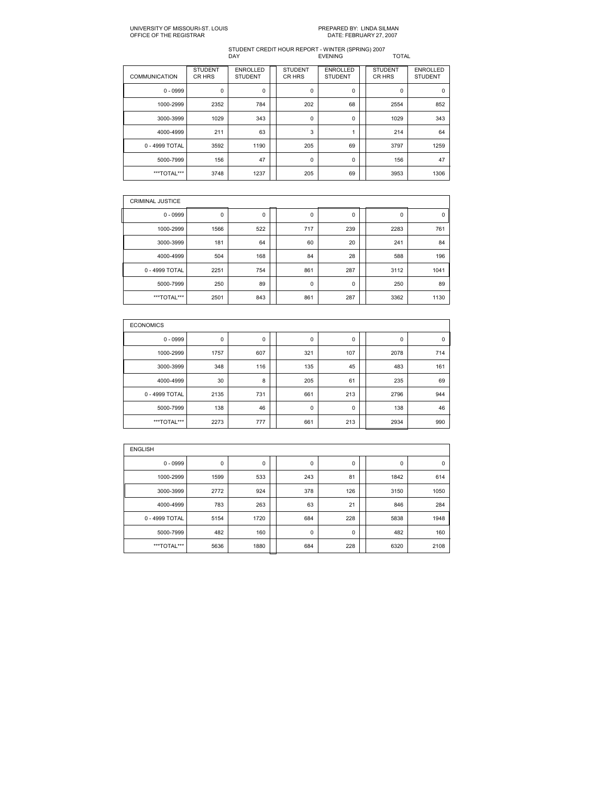| <b>COMMUNICATION</b> | <b>STUDENT</b><br>CR HRS | <b>ENROLLED</b><br><b>STUDENT</b> | <b>STUDENT</b><br>CR HRS | <b>ENROLLED</b><br><b>STUDENT</b> | <b>STUDENT</b><br>CR HRS | <b>ENROLLED</b><br><b>STUDENT</b> |
|----------------------|--------------------------|-----------------------------------|--------------------------|-----------------------------------|--------------------------|-----------------------------------|
| $0 - 0999$           | 0                        | 0                                 | $\mathbf 0$              | 0                                 | 0                        | $\mathbf 0$                       |
| 1000-2999            | 2352                     | 784                               | 202                      | 68                                | 2554                     | 852                               |
| 3000-3999            | 1029                     | 343                               | $\mathbf 0$              | 0                                 | 1029                     | 343                               |
| 4000-4999            | 211                      | 63                                | 3                        | 4                                 | 214                      | 64                                |
| 0 - 4999 TOTAL       | 3592                     | 1190                              | 205                      | 69                                | 3797                     | 1259                              |
| 5000-7999            | 156                      | 47                                | $\mathbf 0$              | 0                                 | 156                      | 47                                |
| ***TOTAL***          | 3748                     | 1237                              | 205                      | 69                                | 3953                     | 1306                              |

| <b>CRIMINAL JUSTICE</b> |      |     |             |     |      |             |
|-------------------------|------|-----|-------------|-----|------|-------------|
| $0 - 0999$              | 0    | 0   | 0           | 0   | 0    | $\mathbf 0$ |
| 1000-2999               | 1566 | 522 | 717         | 239 | 2283 | 761         |
| 3000-3999               | 181  | 64  | 60          | 20  | 241  | 84          |
| 4000-4999               | 504  | 168 | 84          | 28  | 588  | 196         |
| 0 - 4999 TOTAL          | 2251 | 754 | 861         | 287 | 3112 | 1041        |
| 5000-7999               | 250  | 89  | $\mathbf 0$ | 0   | 250  | 89          |
| ***TOTAL***             | 2501 | 843 | 861         | 287 | 3362 | 1130        |

| <b>ECONOMICS</b> |      |     |     |     |      |     |
|------------------|------|-----|-----|-----|------|-----|
| $0 - 0999$       | 0    | 0   | 0   | 0   | 0    | 0   |
| 1000-2999        | 1757 | 607 | 321 | 107 | 2078 | 714 |
| 3000-3999        | 348  | 116 | 135 | 45  | 483  | 161 |
| 4000-4999        | 30   | 8   | 205 | 61  | 235  | 69  |
| 0 - 4999 TOTAL   | 2135 | 731 | 661 | 213 | 2796 | 944 |
| 5000-7999        | 138  | 46  | 0   | 0   | 138  | 46  |
| ***TOTAL***      | 2273 | 777 | 661 | 213 | 2934 | 990 |

| <b>ENGLISH</b> |      |      |  |     |     |  |      |             |  |  |  |  |
|----------------|------|------|--|-----|-----|--|------|-------------|--|--|--|--|
| $0 - 0999$     | 0    | 0    |  | 0   | 0   |  | 0    | $\mathbf 0$ |  |  |  |  |
| 1000-2999      | 1599 | 533  |  | 243 | 81  |  | 1842 | 614         |  |  |  |  |
| 3000-3999      | 2772 | 924  |  | 378 | 126 |  | 3150 | 1050        |  |  |  |  |
| 4000-4999      | 783  | 263  |  | 63  | 21  |  | 846  | 284         |  |  |  |  |
| 0 - 4999 TOTAL | 5154 | 1720 |  | 684 | 228 |  | 5838 | 1948        |  |  |  |  |
| 5000-7999      | 482  | 160  |  | 0   | 0   |  | 482  | 160         |  |  |  |  |
| ***TOTAL***    | 5636 | 1880 |  | 684 | 228 |  | 6320 | 2108        |  |  |  |  |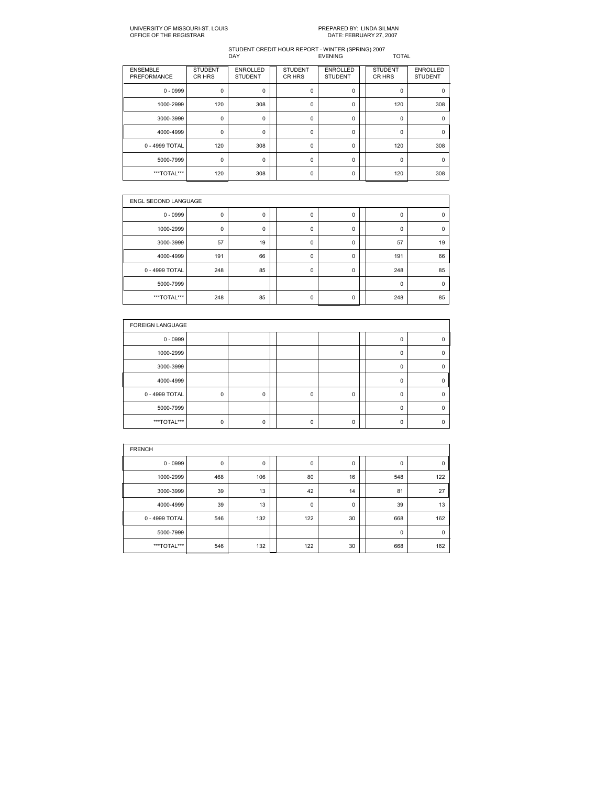# PREPARED BY: LINDA SILMAN<br>DATE: FEBRUARY 27, 2007

| <b>ENSEMBLE</b><br>PREFORMANCE | <b>STUDENT</b><br>CR HRS | <b>ENROLLED</b><br><b>STUDENT</b> | <b>STUDENT</b><br>CR HRS | <b>ENROLLED</b><br><b>STUDENT</b> | <b>STUDENT</b><br>CR HRS | <b>ENROLLED</b><br><b>STUDENT</b> |
|--------------------------------|--------------------------|-----------------------------------|--------------------------|-----------------------------------|--------------------------|-----------------------------------|
| $0 - 0999$                     | $\mathbf 0$              | 0                                 | 0                        | 0                                 | $\mathbf 0$              | 0                                 |
| 1000-2999                      | 120                      | 308                               | 0                        | $\Omega$                          | 120                      | 308                               |
| 3000-3999                      | 0                        | 0                                 | 0                        | 0                                 | $\Omega$                 | $\Omega$                          |
| 4000-4999                      | 0                        | 0                                 | $\Omega$                 | $\Omega$                          | $\Omega$                 | $\Omega$                          |
| 0 - 4999 TOTAL                 | 120                      | 308                               | 0                        | 0                                 | 120                      | 308                               |
| 5000-7999                      | 0                        | 0                                 | 0                        | 0                                 | $\Omega$                 | $\Omega$                          |
| ***TOTAL***                    | 120                      | 308                               | 0                        | 0                                 | 120                      | 308                               |

| <b>ENGL SECOND LANGUAGE</b> |     |    |  |             |   |  |          |             |  |  |
|-----------------------------|-----|----|--|-------------|---|--|----------|-------------|--|--|
| $0 - 0999$                  | 0   | 0  |  | 0           | 0 |  | 0        | 0           |  |  |
| 1000-2999                   | 0   | 0  |  | $\mathbf 0$ | 0 |  | $\Omega$ | $\Omega$    |  |  |
| 3000-3999                   | 57  | 19 |  | 0           | 0 |  | 57       | 19          |  |  |
| 4000-4999                   | 191 | 66 |  | $\mathbf 0$ | 0 |  | 191      | 66          |  |  |
| 0 - 4999 TOTAL              | 248 | 85 |  | 0           | 0 |  | 248      | 85          |  |  |
| 5000-7999                   |     |    |  |             |   |  | 0        | $\mathbf 0$ |  |  |
| ***TOTAL***                 | 248 | 85 |  | 0           | 0 |  | 248      | 85          |  |  |

| <b>FOREIGN LANGUAGE</b> |             |   |   |          |          |   |
|-------------------------|-------------|---|---|----------|----------|---|
| $0 - 0999$              |             |   |   |          | 0        |   |
| 1000-2999               |             |   |   |          | $\Omega$ |   |
| 3000-3999               |             |   |   |          | $\Omega$ | n |
| 4000-4999               |             |   |   |          | $\Omega$ | n |
| 0 - 4999 TOTAL          | $\mathbf 0$ | 0 | 0 | 0        | 0        |   |
| 5000-7999               |             |   |   |          | $\Omega$ |   |
| ***TOTAL***             | $\Omega$    | U | ŋ | $\Omega$ | $\Omega$ |   |

| <b>FRENCH</b>  |     |     |  |             |    |  |             |             |  |  |  |
|----------------|-----|-----|--|-------------|----|--|-------------|-------------|--|--|--|
| $0 - 0999$     | 0   | 0   |  | 0           | 0  |  | 0           | $\mathbf 0$ |  |  |  |
| 1000-2999      | 468 | 106 |  | 80          | 16 |  | 548         | 122         |  |  |  |
| 3000-3999      | 39  | 13  |  | 42          | 14 |  | 81          | 27          |  |  |  |
| 4000-4999      | 39  | 13  |  | $\mathbf 0$ | 0  |  | 39          | 13          |  |  |  |
| 0 - 4999 TOTAL | 546 | 132 |  | 122         | 30 |  | 668         | 162         |  |  |  |
| 5000-7999      |     |     |  |             |    |  | $\mathbf 0$ | $\mathbf 0$ |  |  |  |
| ***TOTAL***    | 546 | 132 |  | 122         | 30 |  | 668         | 162         |  |  |  |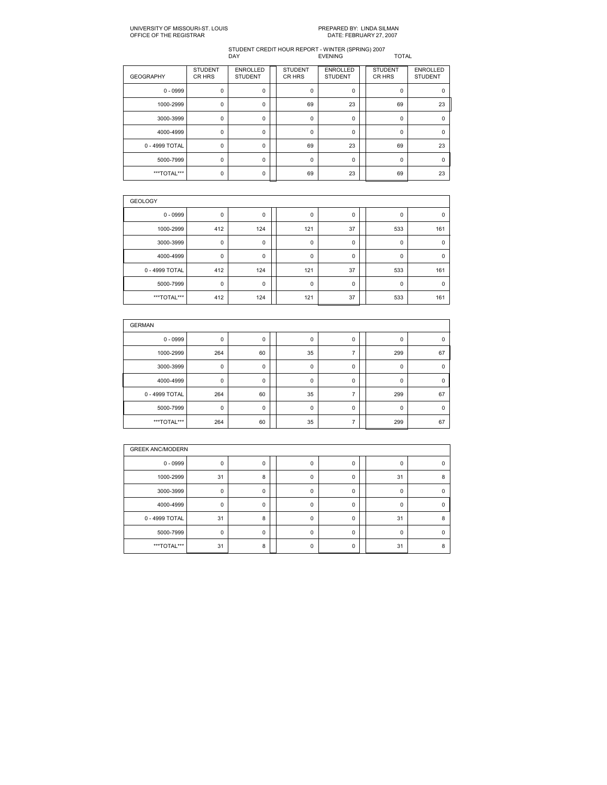| <b>GEOGRAPHY</b> | <b>STUDENT</b><br>CR HRS | <b>ENROLLED</b><br><b>STUDENT</b> | <b>STUDENT</b><br>CR HRS | <b>ENROLLED</b><br><b>STUDENT</b> | <b>STUDENT</b><br>CR HRS | <b>ENROLLED</b><br><b>STUDENT</b> |
|------------------|--------------------------|-----------------------------------|--------------------------|-----------------------------------|--------------------------|-----------------------------------|
| $0 - 0999$       | 0                        | 0                                 | 0                        | 0                                 | 0                        | $\mathbf 0$                       |
| 1000-2999        | 0                        | $\Omega$                          | 69                       | 23                                | 69                       | 23                                |
| 3000-3999        | $\mathbf 0$              | 0                                 | 0                        | 0                                 | 0                        | $\mathbf 0$                       |
| 4000-4999        | $\mathbf 0$              | $\Omega$                          | 0                        | 0                                 | $\Omega$                 | $\Omega$                          |
| 0 - 4999 TOTAL   | 0                        | $\mathbf 0$                       | 69                       | 23                                | 69                       | 23                                |
| 5000-7999        | $\mathbf 0$              | $\Omega$                          | 0                        | 0                                 | $\Omega$                 | $\Omega$                          |
| ***TOTAL***      | 0                        | $\Omega$                          | 69                       | 23                                | 69                       | 23                                |

| <b>GEOLOGY</b> |             |     |  |             |    |  |             |          |  |  |  |  |
|----------------|-------------|-----|--|-------------|----|--|-------------|----------|--|--|--|--|
| $0 - 0999$     | 0           | 0   |  | 0           | 0  |  | 0           | 0        |  |  |  |  |
| 1000-2999      | 412         | 124 |  | 121         | 37 |  | 533         | 161      |  |  |  |  |
| 3000-3999      | $\mathbf 0$ | 0   |  | 0           | 0  |  | $\mathbf 0$ | 0        |  |  |  |  |
| 4000-4999      | 0           | 0   |  | 0           | 0  |  | $\mathbf 0$ | $\Omega$ |  |  |  |  |
| 0 - 4999 TOTAL | 412         | 124 |  | 121         | 37 |  | 533         | 161      |  |  |  |  |
| 5000-7999      | $\mathbf 0$ | 0   |  | $\mathbf 0$ | 0  |  | $\mathbf 0$ | $\Omega$ |  |  |  |  |
| ***TOTAL***    | 412         | 124 |  | 121         | 37 |  | 533         | 161      |  |  |  |  |

| <b>GERMAN</b>  |             |             |  |             |             |  |          |             |  |  |  |
|----------------|-------------|-------------|--|-------------|-------------|--|----------|-------------|--|--|--|
| $0 - 0999$     | 0           | 0           |  | 0           | 0           |  | 0        | 0           |  |  |  |
| 1000-2999      | 264         | 60          |  | 35          | 7           |  | 299      | 67          |  |  |  |
| 3000-3999      | 0           | 0           |  | 0           | 0           |  | 0        | $\mathbf 0$ |  |  |  |
| 4000-4999      | 0           | $\mathbf 0$ |  | $\mathbf 0$ | $\mathbf 0$ |  | $\Omega$ | $\Omega$    |  |  |  |
| 0 - 4999 TOTAL | 264         | 60          |  | 35          | 7           |  | 299      | 67          |  |  |  |
| 5000-7999      | $\mathbf 0$ | 0           |  | 0           | 0           |  | 0        | $\mathbf 0$ |  |  |  |
| ***TOTAL***    | 264         | 60          |  | 35          | 7           |  | 299      | 67          |  |  |  |

| <b>GREEK ANC/MODERN</b> |             |             |  |          |          |  |          |          |  |  |  |
|-------------------------|-------------|-------------|--|----------|----------|--|----------|----------|--|--|--|
| $0 - 0999$              | 0           | 0           |  | 0        | 0        |  | 0        | $\Omega$ |  |  |  |
| 1000-2999               | 31          | 8           |  | $\Omega$ | 0        |  | 31       | 8        |  |  |  |
| 3000-3999               | $\mathbf 0$ | 0           |  | $\Omega$ | 0        |  | $\Omega$ | $\Omega$ |  |  |  |
| 4000-4999               | $\mathbf 0$ | 0           |  | $\Omega$ | 0        |  | $\Omega$ | $\Omega$ |  |  |  |
| 0 - 4999 TOTAL          | 31          | 8           |  | $\Omega$ | 0        |  | 31       | 8        |  |  |  |
| 5000-7999               | $\mathbf 0$ | $\mathbf 0$ |  | $\Omega$ | $\Omega$ |  | $\Omega$ | $\Omega$ |  |  |  |
| ***TOTAL***             | 31          | 8           |  | $\Omega$ | $\Omega$ |  | 31       | 8        |  |  |  |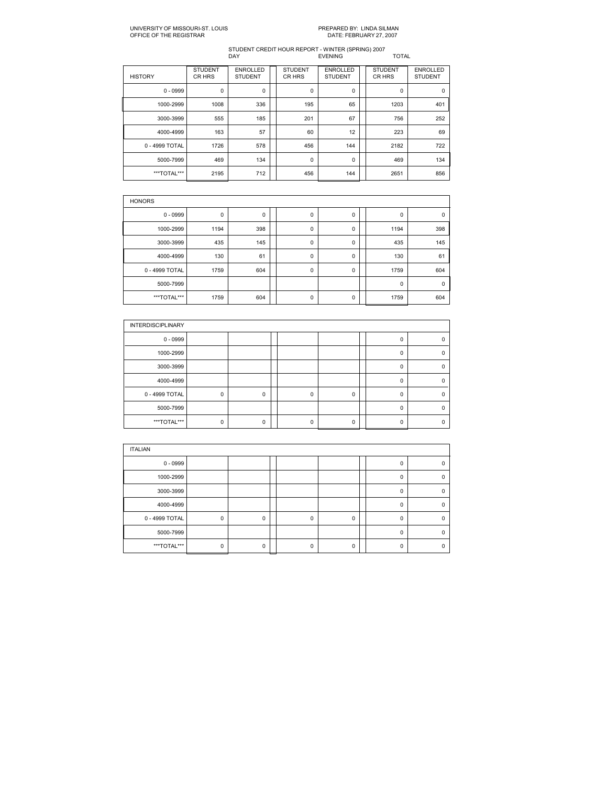| <b>HISTORY</b> | <b>STUDENT</b><br>CR HRS | <b>ENROLLED</b><br><b>STUDENT</b> | <b>STUDENT</b><br>CR HRS | <b>ENROLLED</b><br><b>STUDENT</b> | <b>STUDENT</b><br>CR HRS | <b>ENROLLED</b><br><b>STUDENT</b> |
|----------------|--------------------------|-----------------------------------|--------------------------|-----------------------------------|--------------------------|-----------------------------------|
| $0 - 0999$     | 0                        | 0                                 | 0                        | 0                                 | 0                        | 0                                 |
| 1000-2999      | 1008                     | 336                               | 195                      | 65                                | 1203                     | 401                               |
| 3000-3999      | 555                      | 185                               | 201                      | 67                                | 756                      | 252                               |
| 4000-4999      | 163                      | 57                                | 60                       | 12                                | 223                      | 69                                |
| 0 - 4999 TOTAL | 1726                     | 578                               | 456                      | 144                               | 2182                     | 722                               |
| 5000-7999      | 469                      | 134                               | 0                        | 0                                 | 469                      | 134                               |
| ***TOTAL***    | 2195                     | 712                               | 456                      | 144                               | 2651                     | 856                               |

| <b>HONORS</b>  |      |             |  |             |   |  |      |             |  |  |  |
|----------------|------|-------------|--|-------------|---|--|------|-------------|--|--|--|
| $0 - 0999$     | 0    | $\mathbf 0$ |  | 0           | 0 |  | 0    | $\Omega$    |  |  |  |
| 1000-2999      | 1194 | 398         |  | 0           | 0 |  | 1194 | 398         |  |  |  |
| 3000-3999      | 435  | 145         |  | 0           | 0 |  | 435  | 145         |  |  |  |
| 4000-4999      | 130  | 61          |  | $\mathbf 0$ | 0 |  | 130  | 61          |  |  |  |
| 0 - 4999 TOTAL | 1759 | 604         |  | 0           | 0 |  | 1759 | 604         |  |  |  |
| 5000-7999      |      |             |  |             |   |  | 0    | $\mathbf 0$ |  |  |  |
| ***TOTAL***    | 1759 | 604         |  | 0           | 0 |  | 1759 | 604         |  |  |  |

| <b>INTERDISCIPLINARY</b> |             |   |          |          |          |   |
|--------------------------|-------------|---|----------|----------|----------|---|
| $0 - 0999$               |             |   |          |          | Ω        |   |
| 1000-2999                |             |   |          |          | 0        |   |
| 3000-3999                |             |   |          |          | 0        | n |
| 4000-4999                |             |   |          |          | 0        | n |
| 0 - 4999 TOTAL           | $\mathbf 0$ | 0 | 0        | 0        | 0        |   |
| 5000-7999                |             |   |          |          | $\Omega$ |   |
| ***TOTAL***              | 0           | 0 | $\Omega$ | $\Omega$ | n        |   |

| <b>ITALIAN</b> |             |   |   |          |             |   |
|----------------|-------------|---|---|----------|-------------|---|
| $0 - 0999$     |             |   |   |          | 0           |   |
| 1000-2999      |             |   |   |          | $\Omega$    |   |
| 3000-3999      |             |   |   |          | $\mathbf 0$ | n |
| 4000-4999      |             |   |   |          | $\mathbf 0$ | n |
| 0 - 4999 TOTAL | $\mathbf 0$ | 0 | O | 0        | $\Omega$    |   |
| 5000-7999      |             |   |   |          | $\Omega$    |   |
| ***TOTAL***    | $\Omega$    | 0 | O | $\Omega$ | $\Omega$    |   |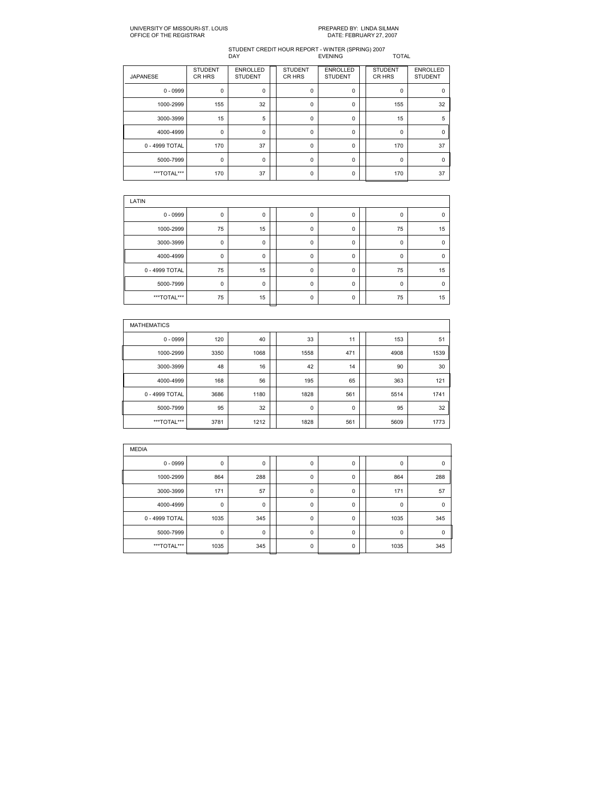| <b>JAPANESE</b> | <b>STUDENT</b><br>CR HRS | <b>ENROLLED</b><br><b>STUDENT</b> | <b>STUDENT</b><br>CR HRS | <b>ENROLLED</b><br><b>STUDENT</b> | <b>STUDENT</b><br>CR HRS | <b>ENROLLED</b><br><b>STUDENT</b> |
|-----------------|--------------------------|-----------------------------------|--------------------------|-----------------------------------|--------------------------|-----------------------------------|
| $0 - 0999$      | 0                        | 0                                 | $\mathbf 0$              | 0                                 | 0                        | 0                                 |
| 1000-2999       | 155                      | 32                                | $\mathbf 0$              | 0                                 | 155                      | 32                                |
| 3000-3999       | 15                       | 5                                 | $\mathbf 0$              | 0                                 | 15                       | 5                                 |
| 4000-4999       | $\mathbf 0$              | $\Omega$                          | $\mathbf 0$              | 0                                 | $\Omega$                 | $\Omega$                          |
| 0 - 4999 TOTAL  | 170                      | 37                                | 0                        | 0                                 | 170                      | 37                                |
| 5000-7999       | 0                        | $\Omega$                          | $\Omega$                 | 0                                 | $\Omega$                 | $\Omega$                          |
| ***TOTAL***     | 170                      | 37                                | 0                        | 0                                 | 170                      | 37                                |

| LATIN          |             |    |  |             |             |  |              |             |  |  |  |  |
|----------------|-------------|----|--|-------------|-------------|--|--------------|-------------|--|--|--|--|
| $0 - 0999$     | $\mathbf 0$ | 0  |  | 0           | $\mathbf 0$ |  | $\Omega$     | $\Omega$    |  |  |  |  |
| 1000-2999      | 75          | 15 |  | 0           | 0           |  | 75           | 15          |  |  |  |  |
| 3000-3999      | $\mathbf 0$ | 0  |  | $\mathbf 0$ | 0           |  | 0            | $\Omega$    |  |  |  |  |
| 4000-4999      | $\mathbf 0$ | 0  |  | $\mathbf 0$ | $\mathbf 0$ |  | $\mathbf{0}$ | $\Omega$    |  |  |  |  |
| 0 - 4999 TOTAL | 75          | 15 |  | 0           | 0           |  | 75           | 15          |  |  |  |  |
| 5000-7999      | 0           | 0  |  | $\mathbf 0$ | 0           |  | 0            | $\mathbf 0$ |  |  |  |  |
| ***TOTAL***    | 75          | 15 |  | $\mathbf 0$ | $\mathbf 0$ |  | 75           | 15          |  |  |  |  |

| <b>MATHEMATICS</b> |      |      |  |             |     |  |      |      |  |  |  |
|--------------------|------|------|--|-------------|-----|--|------|------|--|--|--|
| $0 - 0999$         | 120  | 40   |  | 33          | 11  |  | 153  | 51   |  |  |  |
| 1000-2999          | 3350 | 1068 |  | 1558        | 471 |  | 4908 | 1539 |  |  |  |
| 3000-3999          | 48   | 16   |  | 42          | 14  |  | 90   | 30   |  |  |  |
| 4000-4999          | 168  | 56   |  | 195         | 65  |  | 363  | 121  |  |  |  |
| 0 - 4999 TOTAL     | 3686 | 1180 |  | 1828        | 561 |  | 5514 | 1741 |  |  |  |
| 5000-7999          | 95   | 32   |  | $\mathbf 0$ | 0   |  | 95   | 32   |  |  |  |
| ***TOTAL***        | 3781 | 1212 |  | 1828        | 561 |  | 5609 | 1773 |  |  |  |

| <b>MEDIA</b>   |      |     |             |   |             |             |
|----------------|------|-----|-------------|---|-------------|-------------|
| $0 - 0999$     | 0    | 0   | 0           | 0 | 0           | $\mathbf 0$ |
| 1000-2999      | 864  | 288 | 0           | 0 | 864         | 288         |
| 3000-3999      | 171  | 57  | $\mathbf 0$ | 0 | 171         | 57          |
| 4000-4999      | 0    | 0   | $\mathbf 0$ | 0 | $\mathbf 0$ | $\mathbf 0$ |
| 0 - 4999 TOTAL | 1035 | 345 | $\mathbf 0$ | 0 | 1035        | 345         |
| 5000-7999      | 0    | 0   | $\mathbf 0$ | 0 | $\mathbf 0$ | $\mathbf 0$ |
| ***TOTAL***    | 1035 | 345 | 0           | 0 | 1035        | 345         |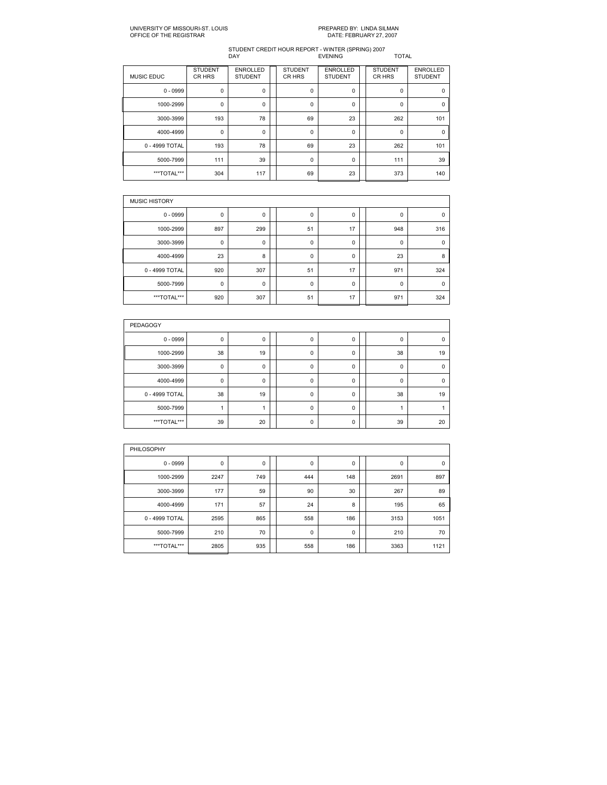# PREPARED BY: LINDA SILMAN<br>DATE: FEBRUARY 27, 2007

| <b>MUSIC EDUC</b> | <b>STUDENT</b><br>CR HRS | <b>ENROLLED</b><br><b>STUDENT</b> | <b>STUDENT</b><br>CR HRS | <b>ENROLLED</b><br><b>STUDENT</b> | <b>STUDENT</b><br>CR HRS | <b>ENROLLED</b><br><b>STUDENT</b> |
|-------------------|--------------------------|-----------------------------------|--------------------------|-----------------------------------|--------------------------|-----------------------------------|
| $0 - 0999$        | 0                        | 0                                 | $\mathbf 0$              | 0                                 | 0                        | $\mathbf 0$                       |
| 1000-2999         | $\mathbf 0$              | $\Omega$                          | $\Omega$                 | 0                                 | $\Omega$                 | $\Omega$                          |
| 3000-3999         | 193                      | 78                                | 69                       | 23                                | 262                      | 101                               |
| 4000-4999         | $\mathbf 0$              | 0                                 | $\mathbf 0$              | 0                                 | 0                        | $\Omega$                          |
| 0 - 4999 TOTAL    | 193                      | 78                                | 69                       | 23                                | 262                      | 101                               |
| 5000-7999         | 111                      | 39                                | $\mathbf 0$              | 0                                 | 111                      | 39                                |
| ***TOTAL***       | 304                      | 117                               | 69                       | 23                                | 373                      | 140                               |

| <b>MUSIC HISTORY</b> |     |     |  |    |    |  |             |             |  |  |  |
|----------------------|-----|-----|--|----|----|--|-------------|-------------|--|--|--|
| $0 - 0999$           | 0   | 0   |  | 0  | 0  |  | 0           | 0           |  |  |  |
| 1000-2999            | 897 | 299 |  | 51 | 17 |  | 948         | 316         |  |  |  |
| 3000-3999            | 0   | 0   |  | 0  | 0  |  | $\mathbf 0$ | $\mathbf 0$ |  |  |  |
| 4000-4999            | 23  | 8   |  | 0  | 0  |  | 23          | 8           |  |  |  |
| 0 - 4999 TOTAL       | 920 | 307 |  | 51 | 17 |  | 971         | 324         |  |  |  |
| 5000-7999            | 0   | 0   |  | 0  | 0  |  | 0           | 0           |  |  |  |
| ***TOTAL***          | 920 | 307 |  | 51 | 17 |  | 971         | 324         |  |  |  |

| <b>PEDAGOGY</b> |    |          |  |   |   |  |          |          |  |  |  |  |
|-----------------|----|----------|--|---|---|--|----------|----------|--|--|--|--|
| $0 - 0999$      | 0  | 0        |  | 0 | 0 |  | 0        | $\Omega$ |  |  |  |  |
| 1000-2999       | 38 | 19       |  | 0 | 0 |  | 38       | 19       |  |  |  |  |
| 3000-3999       | 0  | 0        |  | 0 | 0 |  | $\Omega$ | $\Omega$ |  |  |  |  |
| 4000-4999       | 0  | $\Omega$ |  | 0 | 0 |  | 0        | $\Omega$ |  |  |  |  |
| 0 - 4999 TOTAL  | 38 | 19       |  | 0 | 0 |  | 38       | 19       |  |  |  |  |
| 5000-7999       |    |          |  | 0 | 0 |  |          |          |  |  |  |  |
| ***TOTAL***     | 39 | 20       |  | 0 | 0 |  | 39       | 20       |  |  |  |  |

| PHILOSOPHY     |      |             |  |     |     |  |      |      |  |  |  |  |
|----------------|------|-------------|--|-----|-----|--|------|------|--|--|--|--|
| $0 - 0999$     | 0    | $\mathbf 0$ |  | 0   | 0   |  | 0    | 0    |  |  |  |  |
| 1000-2999      | 2247 | 749         |  | 444 | 148 |  | 2691 | 897  |  |  |  |  |
| 3000-3999      | 177  | 59          |  | 90  | 30  |  | 267  | 89   |  |  |  |  |
| 4000-4999      | 171  | 57          |  | 24  | 8   |  | 195  | 65   |  |  |  |  |
| 0 - 4999 TOTAL | 2595 | 865         |  | 558 | 186 |  | 3153 | 1051 |  |  |  |  |
| 5000-7999      | 210  | 70          |  | 0   | 0   |  | 210  | 70   |  |  |  |  |
| ***TOTAL***    | 2805 | 935         |  | 558 | 186 |  | 3363 | 1121 |  |  |  |  |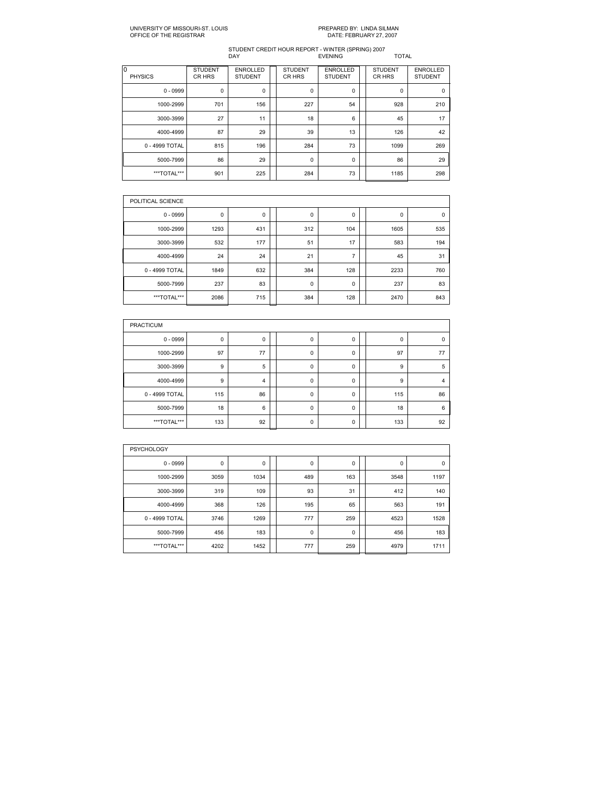# PREPARED BY: LINDA SILMAN<br>DATE: FEBRUARY 27, 2007

| lo<br><b>PHYSICS</b> | <b>STUDENT</b><br>CR HRS | <b>ENROLLED</b><br><b>STUDENT</b> | <b>STUDENT</b><br>CR HRS | <b>ENROLLED</b><br><b>STUDENT</b> | <b>STUDENT</b><br>CR HRS | <b>ENROLLED</b><br><b>STUDENT</b> |
|----------------------|--------------------------|-----------------------------------|--------------------------|-----------------------------------|--------------------------|-----------------------------------|
| $0 - 0999$           | 0                        | 0                                 | 0                        | 0                                 | $\mathbf 0$              | 0                                 |
| 1000-2999            | 701                      | 156                               | 227                      | 54                                | 928                      | 210                               |
| 3000-3999            | 27                       | 11                                | 18                       | 6                                 | 45                       | 17                                |
| 4000-4999            | 87                       | 29                                | 39                       | 13                                | 126                      | 42                                |
| 0 - 4999 TOTAL       | 815                      | 196                               | 284                      | 73                                | 1099                     | 269                               |
| 5000-7999            | 86                       | 29                                | 0                        | 0                                 | 86                       | 29                                |
| ***TOTAL***          | 901                      | 225                               | 284                      | 73                                | 1185                     | 298                               |

| POLITICAL SCIENCE |             |     |             |                |      |             |
|-------------------|-------------|-----|-------------|----------------|------|-------------|
| $0 - 0999$        | $\mathbf 0$ | 0   | $\mathbf 0$ | 0              | 0    | $\mathbf 0$ |
| 1000-2999         | 1293        | 431 | 312         | 104            | 1605 | 535         |
| 3000-3999         | 532         | 177 | 51          | 17             | 583  | 194         |
| 4000-4999         | 24          | 24  | 21          | $\overline{ }$ | 45   | 31          |
| 0 - 4999 TOTAL    | 1849        | 632 | 384         | 128            | 2233 | 760         |
| 5000-7999         | 237         | 83  | $\mathbf 0$ | 0              | 237  | 83          |
| ***TOTAL***       | 2086        | 715 | 384         | 128            | 2470 | 843         |

| <b>PRACTICUM</b> |     |                |   |   |     |    |
|------------------|-----|----------------|---|---|-----|----|
| $0 - 0999$       | 0   | 0              | 0 | 0 | 0   | 0  |
| 1000-2999        | 97  | 77             | 0 | 0 | 97  | 77 |
| 3000-3999        | 9   | 5              | 0 | 0 | 9   | 5  |
| 4000-4999        | 9   | $\overline{4}$ | 0 | 0 | 9   | 4  |
| 0 - 4999 TOTAL   | 115 | 86             | 0 | 0 | 115 | 86 |
| 5000-7999        | 18  | 6              | 0 | 0 | 18  | 6  |
| ***TOTAL***      | 133 | 92             | 0 | 0 | 133 | 92 |

| <b>PSYCHOLOGY</b> |      |      |  |     |     |  |      |             |  |  |  |
|-------------------|------|------|--|-----|-----|--|------|-------------|--|--|--|
| $0 - 0999$        | 0    | 0    |  | 0   | 0   |  | 0    | $\mathbf 0$ |  |  |  |
| 1000-2999         | 3059 | 1034 |  | 489 | 163 |  | 3548 | 1197        |  |  |  |
| 3000-3999         | 319  | 109  |  | 93  | 31  |  | 412  | 140         |  |  |  |
| 4000-4999         | 368  | 126  |  | 195 | 65  |  | 563  | 191         |  |  |  |
| 0 - 4999 TOTAL    | 3746 | 1269 |  | 777 | 259 |  | 4523 | 1528        |  |  |  |
| 5000-7999         | 456  | 183  |  | 0   | 0   |  | 456  | 183         |  |  |  |
| ***TOTAL***       | 4202 | 1452 |  | 777 | 259 |  | 4979 | 1711        |  |  |  |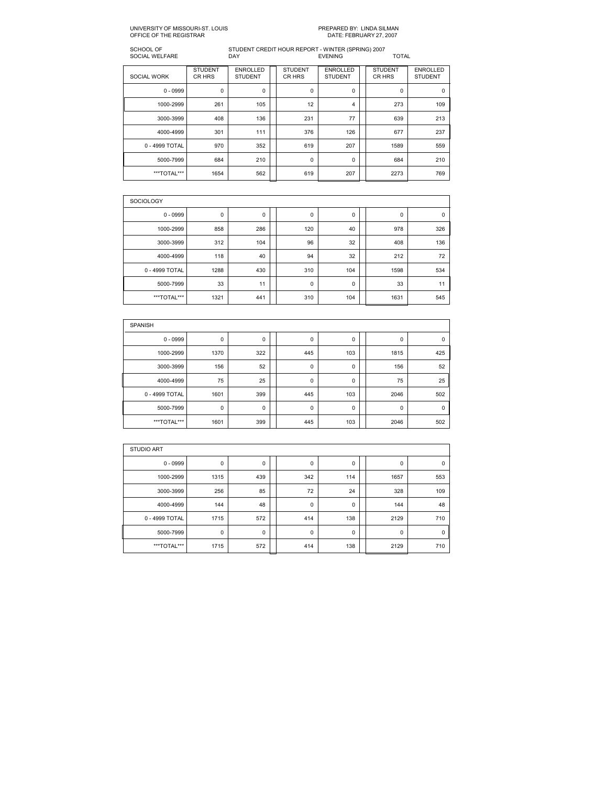# PREPARED BY: LINDA SILMAN<br>DATE: FEBRUARY 27, 2007

## SCHOOL OF STUDENT CREDIT HOUR REPORT WINTER (SPRING) 2007 SOCIAL WELFARE DAY EVENING TOTAL

| <b>SOCIAL WORK</b> | <b>STUDENT</b><br>CR HRS | <b>ENROLLED</b><br><b>STUDENT</b> | <b>STUDENT</b><br>CR HRS | <b>ENROLLED</b><br><b>STUDENT</b> | <b>STUDENT</b><br>CR HRS | <b>ENROLLED</b><br><b>STUDENT</b> |
|--------------------|--------------------------|-----------------------------------|--------------------------|-----------------------------------|--------------------------|-----------------------------------|
| $0 - 0999$         | 0                        | 0                                 | $\mathbf 0$              | 0                                 | $\mathbf 0$              | $\mathbf 0$                       |
| 1000-2999          | 261                      | 105                               | 12                       | 4                                 | 273                      | 109                               |
| 3000-3999          | 408                      | 136                               | 231                      | 77                                | 639                      | 213                               |
| 4000-4999          | 301                      | 111                               | 376                      | 126                               | 677                      | 237                               |
| 0 - 4999 TOTAL     | 970                      | 352                               | 619                      | 207                               | 1589                     | 559                               |
| 5000-7999          | 684                      | 210                               | 0                        | 0                                 | 684                      | 210                               |
| ***TOTAL***        | 1654                     | 562                               | 619                      | 207                               | 2273                     | 769                               |

| <b>SOCIOLOGY</b> |      |     |  |             |     |  |      |             |  |  |  |  |
|------------------|------|-----|--|-------------|-----|--|------|-------------|--|--|--|--|
| $0 - 0999$       | 0    | 0   |  | $\mathbf 0$ | 0   |  | 0    | $\mathbf 0$ |  |  |  |  |
| 1000-2999        | 858  | 286 |  | 120         | 40  |  | 978  | 326         |  |  |  |  |
| 3000-3999        | 312  | 104 |  | 96          | 32  |  | 408  | 136         |  |  |  |  |
| 4000-4999        | 118  | 40  |  | 94          | 32  |  | 212  | 72          |  |  |  |  |
| 0 - 4999 TOTAL   | 1288 | 430 |  | 310         | 104 |  | 1598 | 534         |  |  |  |  |
| 5000-7999        | 33   | 11  |  | 0           | 0   |  | 33   | 11          |  |  |  |  |
| ***TOTAL***      | 1321 | 441 |  | 310         | 104 |  | 1631 | 545         |  |  |  |  |

| <b>SPANISH</b> |      |     |  |     |     |  |             |             |  |  |  |  |
|----------------|------|-----|--|-----|-----|--|-------------|-------------|--|--|--|--|
| $0 - 0999$     | 0    | 0   |  | 0   | 0   |  | 0           | $\mathbf 0$ |  |  |  |  |
| 1000-2999      | 1370 | 322 |  | 445 | 103 |  | 1815        | 425         |  |  |  |  |
| 3000-3999      | 156  | 52  |  | 0   | 0   |  | 156         | 52          |  |  |  |  |
| 4000-4999      | 75   | 25  |  | 0   | 0   |  | 75          | 25          |  |  |  |  |
| 0 - 4999 TOTAL | 1601 | 399 |  | 445 | 103 |  | 2046        | 502         |  |  |  |  |
| 5000-7999      | 0    | 0   |  | 0   | 0   |  | $\mathbf 0$ | $\Omega$    |  |  |  |  |
| ***TOTAL***    | 1601 | 399 |  | 445 | 103 |  | 2046        | 502         |  |  |  |  |

| <b>STUDIO ART</b> |      |     |  |             |     |  |             |     |  |  |  |
|-------------------|------|-----|--|-------------|-----|--|-------------|-----|--|--|--|
| $0 - 0999$        | 0    | 0   |  | 0           | 0   |  | 0           | 0   |  |  |  |
| 1000-2999         | 1315 | 439 |  | 342         | 114 |  | 1657        | 553 |  |  |  |
| 3000-3999         | 256  | 85  |  | 72          | 24  |  | 328         | 109 |  |  |  |
| 4000-4999         | 144  | 48  |  | $\mathbf 0$ | 0   |  | 144         | 48  |  |  |  |
| 0 - 4999 TOTAL    | 1715 | 572 |  | 414         | 138 |  | 2129        | 710 |  |  |  |
| 5000-7999         | 0    | 0   |  | $\mathbf 0$ | 0   |  | $\mathbf 0$ | 0   |  |  |  |
| ***TOTAL***       | 1715 | 572 |  | 414         | 138 |  | 2129        | 710 |  |  |  |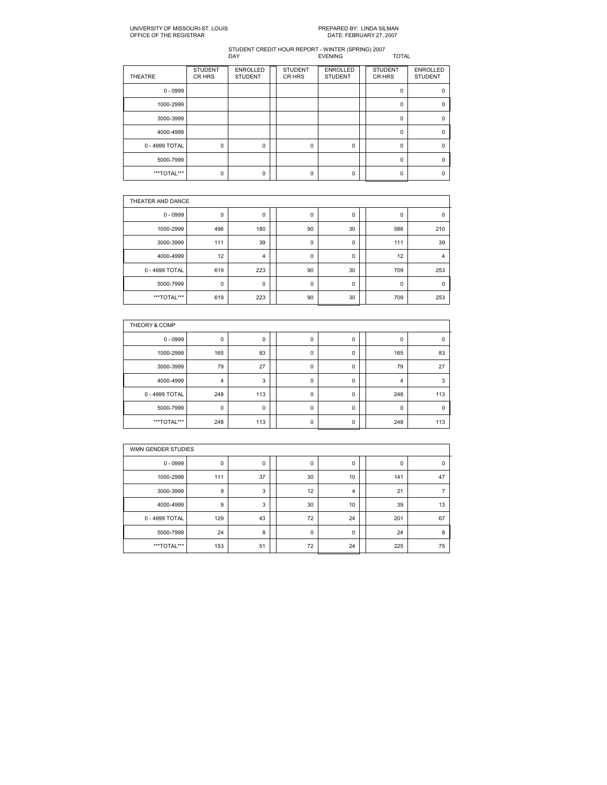# PREPARED BY: LINDA SILMAN<br>DATE: FEBRUARY 27, 2007

| <b>THEATRE</b> | <b>STUDENT</b><br>CR HRS | <b>ENROLLED</b><br><b>STUDENT</b> | <b>STUDENT</b><br>CR HRS | <b>ENROLLED</b><br><b>STUDENT</b> | <b>STUDENT</b><br>CR HRS | <b>ENROLLED</b><br><b>STUDENT</b> |
|----------------|--------------------------|-----------------------------------|--------------------------|-----------------------------------|--------------------------|-----------------------------------|
| $0 - 0999$     |                          |                                   |                          |                                   | $\Omega$                 |                                   |
| 1000-2999      |                          |                                   |                          |                                   | $\Omega$                 |                                   |
| 3000-3999      |                          |                                   |                          |                                   | $\Omega$                 |                                   |
| 4000-4999      |                          |                                   |                          |                                   | $\Omega$                 |                                   |
| 0 - 4999 TOTAL | 0                        | 0                                 | $\Omega$                 | 0                                 | 0                        |                                   |
| 5000-7999      |                          |                                   |                          |                                   | $\Omega$                 |                                   |
| ***TOTAL***    | 0                        | 0                                 | O                        | $\Omega$                          | O                        |                                   |

|                | THEATER AND DANCE |                |  |             |           |  |     |                |  |  |  |  |
|----------------|-------------------|----------------|--|-------------|-----------|--|-----|----------------|--|--|--|--|
| $0 - 0999$     | 0                 | $\mathbf 0$    |  | 0           | 0         |  | 0   | 0              |  |  |  |  |
| 1000-2999      | 496               | 180            |  | 90          | 30        |  | 586 | 210            |  |  |  |  |
| 3000-3999      | 111               | 39             |  | 0           | $\pmb{0}$ |  | 111 | 39             |  |  |  |  |
| 4000-4999      | 12                | $\overline{4}$ |  | $\mathbf 0$ | 0         |  | 12  | $\overline{4}$ |  |  |  |  |
| 0 - 4999 TOTAL | 619               | 223            |  | 90          | 30        |  | 709 | 253            |  |  |  |  |
| 5000-7999      | 0                 | 0              |  | 0           | 0         |  | 0   | 0              |  |  |  |  |
| ***TOTAL***    | 619               | 223            |  | 90          | 30        |  | 709 | 253            |  |  |  |  |

| THEORY & COMP  |                |     |   |   |     |     |
|----------------|----------------|-----|---|---|-----|-----|
| $0 - 0999$     | 0              | 0   | 0 | 0 | 0   | 0   |
| 1000-2999      | 165            | 83  | 0 | 0 | 165 | 83  |
| 3000-3999      | 79             | 27  | 0 | 0 | 79  | 27  |
| 4000-4999      | $\overline{4}$ | 3   | 0 | 0 | 4   | 3   |
| 0 - 4999 TOTAL | 248            | 113 | 0 | 0 | 248 | 113 |
| 5000-7999      | 0              | 0   | 0 | 0 | 0   |     |
| ***TOTAL***    | 248            | 113 | 0 | 0 | 248 | 113 |

|                | WMN GENDER STUDIES |    |  |             |    |  |     |             |  |  |  |  |
|----------------|--------------------|----|--|-------------|----|--|-----|-------------|--|--|--|--|
| $0 - 0999$     | 0                  | 0  |  | $\mathbf 0$ | 0  |  | 0   | $\mathbf 0$ |  |  |  |  |
| 1000-2999      | 111                | 37 |  | 30          | 10 |  | 141 | 47          |  |  |  |  |
| 3000-3999      | 9                  | 3  |  | 12          | 4  |  | 21  | 7           |  |  |  |  |
| 4000-4999      | 9                  | 3  |  | 30          | 10 |  | 39  | 13          |  |  |  |  |
| 0 - 4999 TOTAL | 129                | 43 |  | 72          | 24 |  | 201 | 67          |  |  |  |  |
| 5000-7999      | 24                 | 8  |  | 0           | 0  |  | 24  | 8           |  |  |  |  |
| ***TOTAL***    | 153                | 51 |  | 72          | 24 |  | 225 | 75          |  |  |  |  |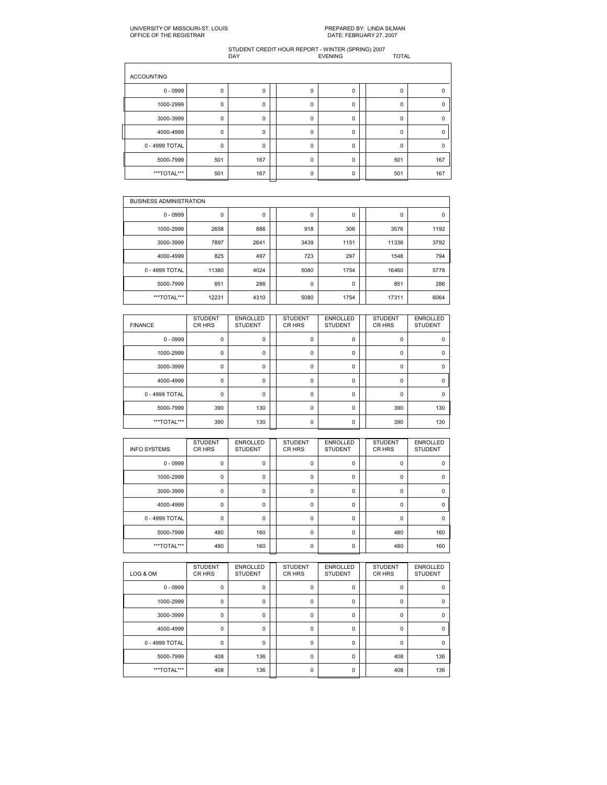## UNIVERSITY OF MISSOURIST. LOUIS PREPARED BY: LINDA SILMAN OFFICE OF THE REGISTRAR DATE: FEBRUARY 27, 2007

| <b>ACCOUNTING</b> |             |     |          |          |          |     |
|-------------------|-------------|-----|----------|----------|----------|-----|
| $0 - 0999$        | $\mathbf 0$ | 0   | $\Omega$ | 0        | 0        | U   |
| 1000-2999         | $\mathbf 0$ | 0   | 0        | 0        | 0        | 0   |
| 3000-3999         | $\mathbf 0$ | 0   | $\Omega$ | 0        | $\Omega$ | n   |
| 4000-4999         | $\mathbf 0$ | 0   | 0        | 0        | $\Omega$ |     |
| 0 - 4999 TOTAL    | $\mathbf 0$ | 0   | 0        | 0        | $\Omega$ | n   |
| 5000-7999         | 501         | 167 | $\Omega$ | $\Omega$ | 501      | 167 |
| ***TOTAL***       | 501         | 167 | $\Omega$ | 0        | 501      | 167 |

|                | <b>BUSINESS ADMINISTRATION</b> |      |  |             |      |  |       |      |  |  |  |  |
|----------------|--------------------------------|------|--|-------------|------|--|-------|------|--|--|--|--|
| $0 - 0999$     | 0                              | 0    |  | 0           | 0    |  | 0     | 0    |  |  |  |  |
| 1000-2999      | 2658                           | 886  |  | 918         | 306  |  | 3576  | 1192 |  |  |  |  |
| 3000-3999      | 7897                           | 2641 |  | 3439        | 1151 |  | 11336 | 3792 |  |  |  |  |
| 4000-4999      | 825                            | 497  |  | 723         | 297  |  | 1548  | 794  |  |  |  |  |
| 0 - 4999 TOTAL | 11380                          | 4024 |  | 5080        | 1754 |  | 16460 | 5778 |  |  |  |  |
| 5000-7999      | 851                            | 286  |  | $\mathbf 0$ | 0    |  | 851   | 286  |  |  |  |  |
| ***TOTAL***    | 12231                          | 4310 |  | 5080        | 1754 |  | 17311 | 6064 |  |  |  |  |

| <b>FINANCE</b> | <b>STUDENT</b><br>CR HRS | <b>ENROLLED</b><br><b>STUDENT</b> | <b>STUDENT</b><br>CR HRS | <b>ENROLLED</b><br><b>STUDENT</b> | <b>STUDENT</b><br>CR HRS | <b>ENROLLED</b><br><b>STUDENT</b> |
|----------------|--------------------------|-----------------------------------|--------------------------|-----------------------------------|--------------------------|-----------------------------------|
| $0 - 0999$     | $\mathbf 0$              | 0                                 | $\mathbf 0$              | 0                                 | 0                        | $\Omega$                          |
| 1000-2999      | $\mathbf 0$              | 0                                 | $\Omega$                 | 0                                 | $\Omega$                 | $\Omega$                          |
| 3000-3999      | $\mathbf 0$              | 0                                 | $\mathbf 0$              | 0                                 | 0                        | 0                                 |
| 4000-4999      | $\mathbf 0$              | $\Omega$                          | $\Omega$                 | $\Omega$                          | $\Omega$                 | $\Omega$                          |
| 0 - 4999 TOTAL | $\mathbf 0$              | 0                                 | $\Omega$                 | 0                                 | $\Omega$                 | $\Omega$                          |
| 5000-7999      | 390                      | 130                               | $\Omega$                 | 0                                 | 390                      | 130                               |
| ***TOTAL***    | 390                      | 130                               | $\Omega$                 | $\Omega$                          | 390                      | 130                               |

| <b>INFO SYSTEMS</b> | <b>STUDENT</b><br>CR HRS | <b>ENROLLED</b><br><b>STUDENT</b> | <b>STUDENT</b><br>CR HRS | <b>ENROLLED</b><br><b>STUDENT</b> | <b>STUDENT</b><br>CR HRS | <b>ENROLLED</b><br><b>STUDENT</b> |
|---------------------|--------------------------|-----------------------------------|--------------------------|-----------------------------------|--------------------------|-----------------------------------|
| $0 - 0999$          | 0                        | 0                                 | $\mathbf 0$              | $\mathbf 0$                       | $\mathbf 0$              | $\Omega$                          |
| 1000-2999           | 0                        | 0                                 | $\Omega$                 | $\Omega$                          | $\Omega$                 | $\Omega$                          |
| 3000-3999           | 0                        | 0                                 | 0                        | 0                                 | $\mathbf 0$              | 0                                 |
| 4000-4999           | 0                        | $\mathbf 0$                       | $\Omega$                 | $\Omega$                          | $\Omega$                 | $\Omega$                          |
| 0 - 4999 TOTAL      | 0                        | 0                                 | $\Omega$                 | $\Omega$                          | $\Omega$                 | $\Omega$                          |
| 5000-7999           | 480                      | 160                               | 0                        | 0                                 | 480                      | 160                               |
| ***TOTAL***         | 480                      | 160                               | $\Omega$                 | $\Omega$                          | 480                      | 160                               |

| LOG & OM       | <b>STUDENT</b><br>CR HRS | <b>ENROLLED</b><br><b>STUDENT</b> | <b>STUDENT</b><br>CR HRS | <b>ENROLLED</b><br><b>STUDENT</b> | <b>STUDENT</b><br>CR HRS | <b>ENROLLED</b><br><b>STUDENT</b> |
|----------------|--------------------------|-----------------------------------|--------------------------|-----------------------------------|--------------------------|-----------------------------------|
| $0 - 0999$     | 0                        | 0                                 | 0                        | 0                                 | $\mathbf 0$              |                                   |
| 1000-2999      | 0                        | 0                                 | $\Omega$                 | 0                                 | $\Omega$                 | 0                                 |
| 3000-3999      | 0                        | 0                                 | 0                        | 0                                 | 0                        | 0                                 |
| 4000-4999      | 0                        | 0                                 | $\Omega$                 | $\Omega$                          | $\Omega$                 | $\Omega$                          |
| 0 - 4999 TOTAL | 0                        | 0                                 | $\Omega$                 | 0                                 | $\Omega$                 | $\Omega$                          |
| 5000-7999      | 408                      | 136                               | $\Omega$                 | 0                                 | 408                      | 136                               |
| ***TOTAL***    | 408                      | 136                               | $\Omega$                 | $\Omega$                          | 408                      | 136                               |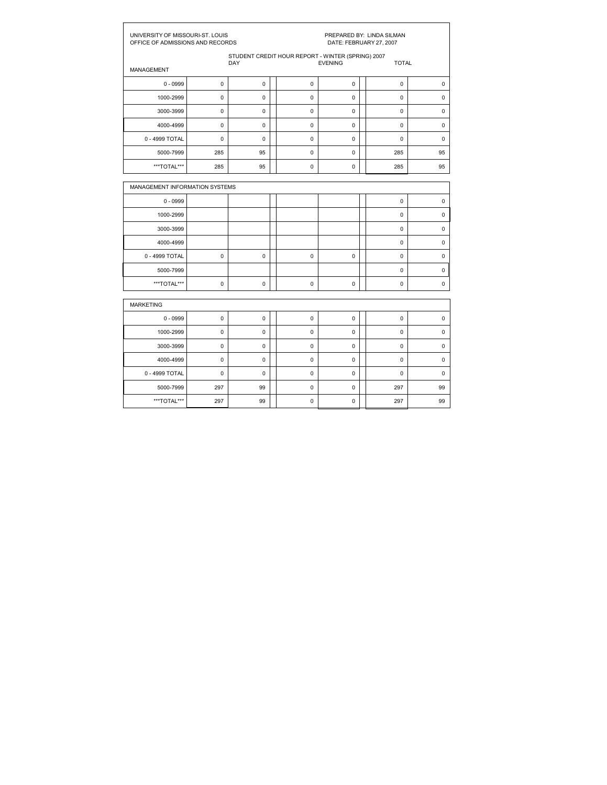|                                | UNIVERSITY OF MISSOURI-ST. LOUIS<br>PREPARED BY: LINDA SILMAN<br>OFFICE OF ADMISSIONS AND RECORDS<br>DATE: FEBRUARY 27, 2007 |                                                   |  |             |                |  |              |             |  |  |
|--------------------------------|------------------------------------------------------------------------------------------------------------------------------|---------------------------------------------------|--|-------------|----------------|--|--------------|-------------|--|--|
|                                |                                                                                                                              | STUDENT CREDIT HOUR REPORT - WINTER (SPRING) 2007 |  |             | <b>EVENING</b> |  |              |             |  |  |
| <b>MANAGEMENT</b>              |                                                                                                                              | <b>DAY</b>                                        |  |             |                |  | <b>TOTAL</b> |             |  |  |
| $0 - 0999$                     | $\mathbf 0$                                                                                                                  | $\mathbf 0$                                       |  | $\mathbf 0$ | $\mathbf 0$    |  | $\mathbf 0$  | $\mathbf 0$ |  |  |
| 1000-2999                      | 0                                                                                                                            | $\mathbf 0$                                       |  | 0           | $\mathbf 0$    |  | 0            | 0           |  |  |
| 3000-3999                      | 0                                                                                                                            | $\mathbf 0$                                       |  | 0           | $\mathbf 0$    |  | $\mathbf 0$  | 0           |  |  |
| 4000-4999                      | 0                                                                                                                            | $\mathbf 0$                                       |  | 0           | $\mathbf 0$    |  | $\mathbf 0$  | $\mathbf 0$ |  |  |
| 0 - 4999 TOTAL                 | $\mathbf 0$                                                                                                                  | $\mathbf 0$                                       |  | $\mathbf 0$ | $\mathbf 0$    |  | $\mathbf 0$  | $\mathbf 0$ |  |  |
| 5000-7999                      | 285                                                                                                                          | 95                                                |  | 0           | $\mathbf 0$    |  | 285          | 95          |  |  |
| ***TOTAL***                    | 285                                                                                                                          | 95                                                |  | 0           | $\mathbf 0$    |  | 285          | 95          |  |  |
|                                |                                                                                                                              |                                                   |  |             |                |  |              |             |  |  |
| MANAGEMENT INFORMATION SYSTEMS |                                                                                                                              |                                                   |  |             |                |  |              |             |  |  |
| $0 - 0999$                     |                                                                                                                              |                                                   |  |             |                |  | 0            | 0           |  |  |
| 1000-2999                      |                                                                                                                              |                                                   |  |             |                |  | 0            | 0           |  |  |
| 3000-3999                      |                                                                                                                              |                                                   |  |             |                |  | 0            | 0           |  |  |
| 4000-4999                      |                                                                                                                              |                                                   |  |             |                |  | 0            | $\mathbf 0$ |  |  |
| 0 - 4999 TOTAL                 | 0                                                                                                                            | 0                                                 |  | 0           | 0              |  | 0            | 0           |  |  |
| 5000-7999                      |                                                                                                                              |                                                   |  |             |                |  | 0            | 0           |  |  |
| ***TOTAL***                    | 0                                                                                                                            | 0                                                 |  | 0           | 0              |  | 0            | 0           |  |  |
| <b>MARKETING</b>               |                                                                                                                              |                                                   |  |             |                |  |              |             |  |  |
|                                |                                                                                                                              |                                                   |  |             |                |  |              |             |  |  |
| $0 - 0999$                     | 0                                                                                                                            | $\mathbf 0$                                       |  | 0           | $\mathbf 0$    |  | 0            | $\pmb{0}$   |  |  |
| 1000-2999                      | 0                                                                                                                            | $\mathbf 0$                                       |  | 0           | $\mathbf 0$    |  | 0            | 0           |  |  |
| 3000-3999                      | $\mathbf 0$                                                                                                                  | $\mathbf 0$                                       |  | 0           | $\mathbf 0$    |  | $\mathbf 0$  | $\mathbf 0$ |  |  |
| 4000-4999                      | $\mathbf 0$                                                                                                                  | $\mathbf 0$                                       |  | $\mathbf 0$ | $\mathbf 0$    |  | $\mathbf 0$  | $\mathbf 0$ |  |  |
| 0 - 4999 TOTAL                 | $\pmb{0}$                                                                                                                    | $\mathbf 0$                                       |  | 0           | $\mathbf 0$    |  | 0            | $\mathbf 0$ |  |  |
| 5000-7999                      | 297                                                                                                                          | 99                                                |  | $\mathbf 0$ | $\mathbf 0$    |  | 297          | 99          |  |  |

\*\*\*TOTAL\*\*\* 297 99 0 0 297 99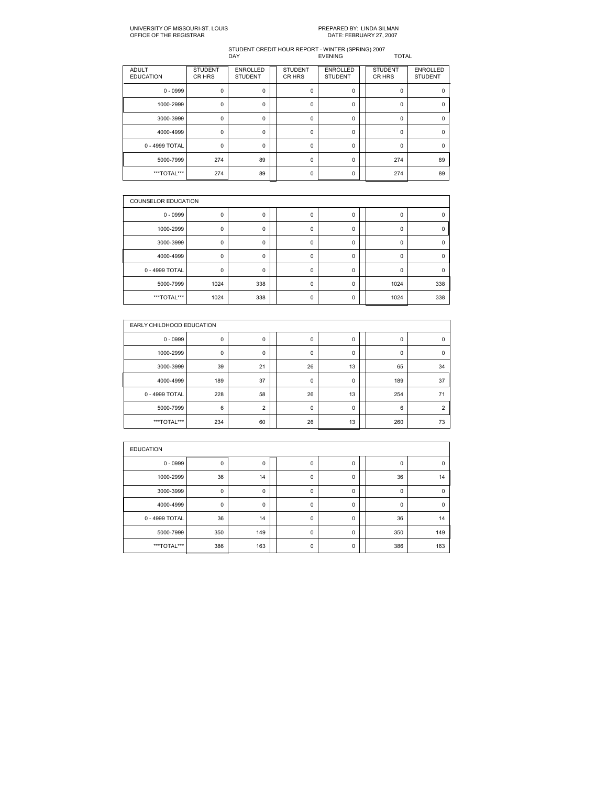# PREPARED BY: LINDA SILMAN<br>DATE: FEBRUARY 27, 2007

| <b>ADULT</b><br><b>EDUCATION</b> | <b>STUDENT</b><br>CR HRS | <b>ENROLLED</b><br><b>STUDENT</b> | <b>STUDENT</b><br>CR HRS | <b>ENROLLED</b><br><b>STUDENT</b> | <b>STUDENT</b><br>CR HRS | <b>ENROLLED</b><br><b>STUDENT</b> |
|----------------------------------|--------------------------|-----------------------------------|--------------------------|-----------------------------------|--------------------------|-----------------------------------|
| $0 - 0999$                       | 0                        | 0                                 | 0                        | 0                                 | 0                        | 0                                 |
| 1000-2999                        | 0                        | 0                                 | $\mathbf 0$              | 0                                 | $\Omega$                 | $\Omega$                          |
| 3000-3999                        | 0                        | 0                                 | 0                        | 0                                 | 0                        | 0                                 |
| 4000-4999                        | $\mathbf 0$              | $\Omega$                          | $\Omega$                 | 0                                 | $\Omega$                 | $\Omega$                          |
| 0 - 4999 TOTAL                   | $\mathbf 0$              | 0                                 | 0                        | 0                                 | $\Omega$                 | $\Omega$                          |
| 5000-7999                        | 274                      | 89                                | $\Omega$                 | 0                                 | 274                      | 89                                |
| ***TOTAL***                      | 274                      | 89                                | 0                        | 0                                 | 274                      | 89                                |

|                | <b>COUNSELOR EDUCATION</b> |     |  |          |          |  |          |     |  |  |  |  |
|----------------|----------------------------|-----|--|----------|----------|--|----------|-----|--|--|--|--|
| $0 - 0999$     | 0                          | 0   |  | 0        | 0        |  | 0        |     |  |  |  |  |
| 1000-2999      | 0                          | 0   |  | 0        | 0        |  | 0        | 0   |  |  |  |  |
| 3000-3999      | $\mathbf 0$                | 0   |  | 0        | 0        |  | 0        |     |  |  |  |  |
| 4000-4999      | $\mathbf 0$                | 0   |  | 0        | 0        |  | $\Omega$ | 0   |  |  |  |  |
| 0 - 4999 TOTAL | 0                          | 0   |  | 0        | 0        |  | 0        | 0   |  |  |  |  |
| 5000-7999      | 1024                       | 338 |  | $\Omega$ | 0        |  | 1024     | 338 |  |  |  |  |
| ***TOTAL***    | 1024                       | 338 |  | 0        | $\Omega$ |  | 1024     | 338 |  |  |  |  |

|                | EARLY CHILDHOOD EDUCATION |                |  |    |    |  |          |                |  |  |  |  |
|----------------|---------------------------|----------------|--|----|----|--|----------|----------------|--|--|--|--|
| $0 - 0999$     | 0                         | 0              |  | 0  | 0  |  | 0        | 0              |  |  |  |  |
| 1000-2999      | 0                         | $\mathbf 0$    |  | 0  | 0  |  | $\Omega$ | $\Omega$       |  |  |  |  |
| 3000-3999      | 39                        | 21             |  | 26 | 13 |  | 65       | 34             |  |  |  |  |
| 4000-4999      | 189                       | 37             |  | 0  | 0  |  | 189      | 37             |  |  |  |  |
| 0 - 4999 TOTAL | 228                       | 58             |  | 26 | 13 |  | 254      | 71             |  |  |  |  |
| 5000-7999      | 6                         | $\overline{2}$ |  | 0  | 0  |  | 6        | $\overline{2}$ |  |  |  |  |
| ***TOTAL***    | 234                       | 60             |  | 26 | 13 |  | 260      | 73             |  |  |  |  |

| <b>EDUCATION</b> |             |     |  |   |   |  |     |             |  |  |  |  |
|------------------|-------------|-----|--|---|---|--|-----|-------------|--|--|--|--|
| $0 - 0999$       | 0           | 0   |  | 0 | 0 |  | 0   | $\mathbf 0$ |  |  |  |  |
| 1000-2999        | 36          | 14  |  | 0 | 0 |  | 36  | 14          |  |  |  |  |
| 3000-3999        | 0           | 0   |  | 0 | 0 |  | 0   | $\mathbf 0$ |  |  |  |  |
| 4000-4999        | $\mathbf 0$ | 0   |  | 0 | 0 |  | 0   | $\Omega$    |  |  |  |  |
| 0 - 4999 TOTAL   | 36          | 14  |  | 0 | 0 |  | 36  | 14          |  |  |  |  |
| 5000-7999        | 350         | 149 |  | 0 | 0 |  | 350 | 149         |  |  |  |  |
| ***TOTAL***      | 386         | 163 |  | 0 | 0 |  | 386 | 163         |  |  |  |  |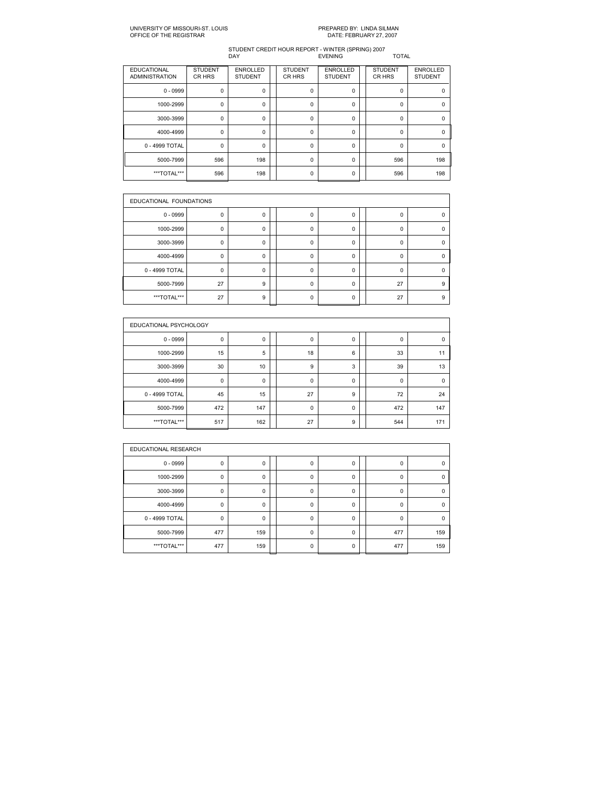| <b>EDUCATIONAL</b><br><b>ADMINISTRATION</b> | <b>STUDENT</b><br>CR HRS | <b>ENROLLED</b><br><b>STUDENT</b> | <b>STUDENT</b><br>CR HRS | <b>ENROLLED</b><br><b>STUDENT</b> | <b>STUDENT</b><br>CR HRS | <b>ENROLLED</b><br><b>STUDENT</b> |
|---------------------------------------------|--------------------------|-----------------------------------|--------------------------|-----------------------------------|--------------------------|-----------------------------------|
| $0 - 0999$                                  | $\mathbf 0$              | 0                                 | 0                        | 0                                 | 0                        |                                   |
| 1000-2999                                   | 0                        | $\Omega$                          | O                        | $\Omega$                          | $\Omega$                 |                                   |
| 3000-3999                                   | $\mathbf 0$              | 0                                 | 0                        | 0                                 | 0                        |                                   |
| 4000-4999                                   | $\mathbf 0$              | $\mathbf 0$                       | $\Omega$                 | $\Omega$                          | $\Omega$                 | n                                 |
| 0 - 4999 TOTAL                              | $\mathbf 0$              | 0                                 | 0                        | 0                                 | $\Omega$                 | U                                 |
| 5000-7999                                   | 596                      | 198                               | $\Omega$                 | 0                                 | 596                      | 198                               |
| ***TOTAL***                                 | 596                      | 198                               | ŋ                        | $\Omega$                          | 596                      | 198                               |

|                | EDUCATIONAL FOUNDATIONS |          |  |   |          |  |          |   |  |  |  |
|----------------|-------------------------|----------|--|---|----------|--|----------|---|--|--|--|
| $0 - 0999$     | 0                       | 0        |  | 0 | 0        |  | 0        |   |  |  |  |
| 1000-2999      | $\Omega$                | ŋ        |  | O | $\Omega$ |  | $\Omega$ |   |  |  |  |
| 3000-3999      | $\mathbf 0$             | 0        |  | 0 | 0        |  | 0        |   |  |  |  |
| 4000-4999      | $\Omega$                | $\Omega$ |  | O | $\Omega$ |  | $\Omega$ |   |  |  |  |
| 0 - 4999 TOTAL | $\mathbf 0$             | $\Omega$ |  | 0 | $\Omega$ |  | $\Omega$ |   |  |  |  |
| 5000-7999      | 27                      | 9        |  | ŋ | 0        |  | 27       | 9 |  |  |  |
| ***TOTAL***    | 27                      | 9        |  | ŋ | $\Omega$ |  | 27       | 9 |  |  |  |

|                | EDUCATIONAL PSYCHOLOGY |          |  |             |   |  |          |          |  |  |  |  |
|----------------|------------------------|----------|--|-------------|---|--|----------|----------|--|--|--|--|
| $0 - 0999$     | 0                      | 0        |  | 0           | 0 |  | 0        | $\Omega$ |  |  |  |  |
| 1000-2999      | 15                     | 5        |  | 18          | 6 |  | 33       | 11       |  |  |  |  |
| 3000-3999      | 30                     | 10       |  | 9           | 3 |  | 39       | 13       |  |  |  |  |
| 4000-4999      | $\mathbf 0$            | $\Omega$ |  | $\mathbf 0$ | 0 |  | $\Omega$ | $\Omega$ |  |  |  |  |
| 0 - 4999 TOTAL | 45                     | 15       |  | 27          | 9 |  | 72       | 24       |  |  |  |  |
| 5000-7999      | 472                    | 147      |  | 0           | 0 |  | 472      | 147      |  |  |  |  |
| ***TOTAL***    | 517                    | 162      |  | 27          | 9 |  | 544      | 171      |  |  |  |  |

|                | EDUCATIONAL RESEARCH |          |  |          |          |  |          |     |  |  |  |  |
|----------------|----------------------|----------|--|----------|----------|--|----------|-----|--|--|--|--|
| $0 - 0999$     | $\mathbf 0$          | 0        |  | 0        | 0        |  | 0        | n   |  |  |  |  |
| 1000-2999      | 0                    | 0        |  | $\Omega$ | 0        |  | $\Omega$ | ŋ   |  |  |  |  |
| 3000-3999      | 0                    | 0        |  | 0        | 0        |  | $\Omega$ | n   |  |  |  |  |
| 4000-4999      | 0                    | 0        |  | 0        | 0        |  | $\Omega$ | n   |  |  |  |  |
| 0 - 4999 TOTAL | 0                    | $\Omega$ |  | $\Omega$ | 0        |  | $\Omega$ |     |  |  |  |  |
| 5000-7999      | 477                  | 159      |  | $\Omega$ | $\Omega$ |  | 477      | 159 |  |  |  |  |
| ***TOTAL***    | 477                  | 159      |  | 0        | 0        |  | 477      | 159 |  |  |  |  |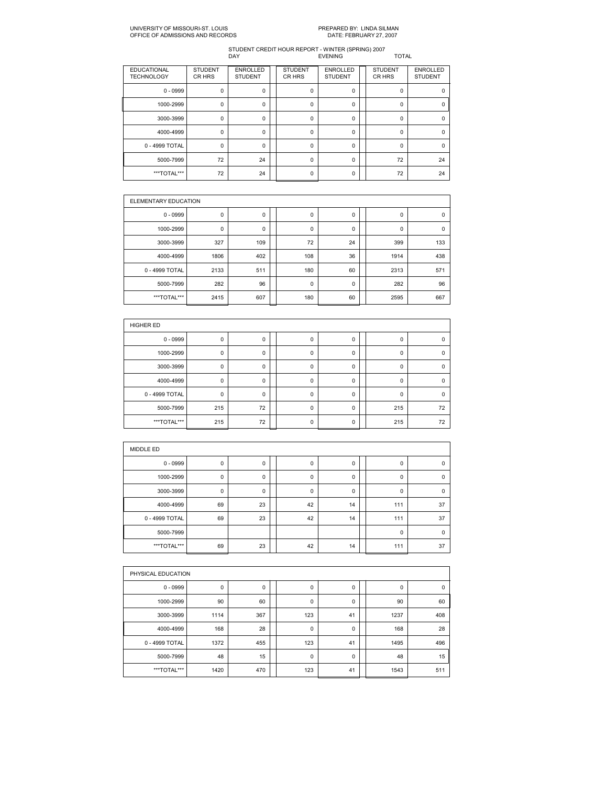### UNIVERSITY OF MISSOURIST. LOUIS PREPARED BY: LINDA SILMAN OFFICE OF ADMISSIONS AND RECORDS

| <b>EDUCATIONAL</b><br><b>TECHNOLOGY</b> | <b>STUDENT</b><br>CR HRS | <b>ENROLLED</b><br><b>STUDENT</b> | <b>STUDENT</b><br>CR HRS | <b>ENROLLED</b><br><b>STUDENT</b> | <b>STUDENT</b><br>CR HRS | <b>ENROLLED</b><br><b>STUDENT</b> |
|-----------------------------------------|--------------------------|-----------------------------------|--------------------------|-----------------------------------|--------------------------|-----------------------------------|
| $0 - 0999$                              | 0                        | 0                                 | $\mathbf 0$              | 0                                 | 0                        | $\Omega$                          |
| 1000-2999                               | 0                        | $\Omega$                          | $\Omega$                 | 0                                 | <sup>0</sup>             | O                                 |
| 3000-3999                               | $\mathbf 0$              | 0                                 | $\mathbf 0$              | 0                                 | 0                        | $\Omega$                          |
| 4000-4999                               | $\mathbf 0$              | $\Omega$                          | $\Omega$                 | $\Omega$                          | $\Omega$                 | $\Omega$                          |
| 0 - 4999 TOTAL                          | 0                        | 0                                 | $\mathbf 0$              | 0                                 | $\Omega$                 | $\Omega$                          |
| 5000-7999                               | 72                       | 24                                | $\Omega$                 | 0                                 | 72                       | 24                                |
| ***TOTAL***                             | 72                       | 24                                | $\Omega$                 | 0                                 | 72                       | 24                                |

| ELEMENTARY EDUCATION |      |     |     |             |      |             |
|----------------------|------|-----|-----|-------------|------|-------------|
| $0 - 0999$           | 0    | 0   | 0   | $\mathbf 0$ | 0    | $\mathbf 0$ |
| 1000-2999            | 0    | 0   | 0   | 0           | 0    | $\mathbf 0$ |
| 3000-3999            | 327  | 109 | 72  | 24          | 399  | 133         |
| 4000-4999            | 1806 | 402 | 108 | 36          | 1914 | 438         |
| 0 - 4999 TOTAL       | 2133 | 511 | 180 | 60          | 2313 | 571         |
| 5000-7999            | 282  | 96  | 0   | 0           | 282  | 96          |
| ***TOTAL***          | 2415 | 607 | 180 | 60          | 2595 | 667         |

| <b>HIGHER ED</b> |     |    |  |             |             |  |          |             |  |  |  |
|------------------|-----|----|--|-------------|-------------|--|----------|-------------|--|--|--|
| $0 - 0999$       | 0   | 0  |  | 0           | 0           |  | 0        | $\Omega$    |  |  |  |
| 1000-2999        | 0   | 0  |  | 0           | 0           |  | 0        | 0           |  |  |  |
| 3000-3999        | 0   | 0  |  | 0           | $\mathbf 0$ |  | $\Omega$ | $\Omega$    |  |  |  |
| 4000-4999        | 0   | 0  |  | $\mathbf 0$ | $\mathbf 0$ |  | $\Omega$ | $\Omega$    |  |  |  |
| 0 - 4999 TOTAL   | 0   | 0  |  | $\mathbf 0$ | $\mathbf 0$ |  | $\Omega$ | $\mathbf 0$ |  |  |  |
| 5000-7999        | 215 | 72 |  | $\mathbf 0$ | $\mathbf 0$ |  | 215      | 72          |  |  |  |
| ***TOTAL***      | 215 | 72 |  | 0           | 0           |  | 215      | 72          |  |  |  |

| MIDDLE ED      |    |             |             |    |             |             |
|----------------|----|-------------|-------------|----|-------------|-------------|
| $0 - 0999$     | 0  | 0           | 0           | 0  | 0           | 0           |
| 1000-2999      | 0  | 0           | $\mathbf 0$ | 0  | 0           | $\mathbf 0$ |
| 3000-3999      | 0  | $\mathbf 0$ | $\mathbf 0$ | 0  | $\mathbf 0$ | $\mathbf 0$ |
| 4000-4999      | 69 | 23          | 42          | 14 | 111         | 37          |
| 0 - 4999 TOTAL | 69 | 23          | 42          | 14 | 111         | 37          |
| 5000-7999      |    |             |             |    | $\mathbf 0$ | $\Omega$    |
| ***TOTAL***    | 69 | 23          | 42          | 14 | 111         | 37          |

|                | PHYSICAL EDUCATION |     |  |             |    |  |             |     |  |  |  |
|----------------|--------------------|-----|--|-------------|----|--|-------------|-----|--|--|--|
| $0 - 0999$     | 0                  | 0   |  | $\mathbf 0$ | 0  |  | $\mathbf 0$ | 0   |  |  |  |
| 1000-2999      | 90                 | 60  |  | $\mathbf 0$ | 0  |  | 90          | 60  |  |  |  |
| 3000-3999      | 1114               | 367 |  | 123         | 41 |  | 1237        | 408 |  |  |  |
| 4000-4999      | 168                | 28  |  | $\mathbf 0$ | 0  |  | 168         | 28  |  |  |  |
| 0 - 4999 TOTAL | 1372               | 455 |  | 123         | 41 |  | 1495        | 496 |  |  |  |
| 5000-7999      | 48                 | 15  |  | $\mathbf 0$ | 0  |  | 48          | 15  |  |  |  |
| ***TOTAL***    | 1420               | 470 |  | 123         | 41 |  | 1543        | 511 |  |  |  |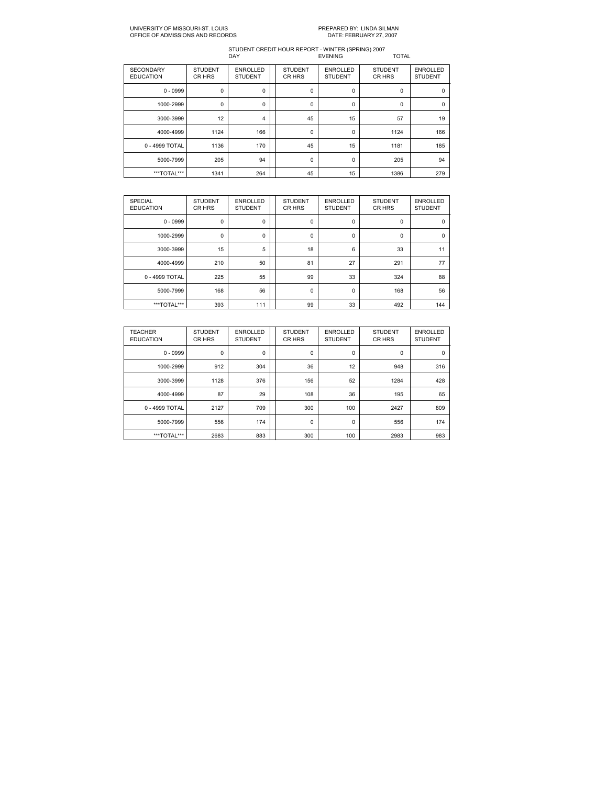### UNIVERSITY OF MISSOURIST. LOUIS PREPARED BY: LINDA SILMAN OFFICE OF ADMISSIONS AND RECORDS

| <b>SECONDARY</b><br><b>EDUCATION</b> | <b>STUDENT</b><br>CR HRS | <b>ENROLLED</b><br><b>STUDENT</b> | <b>STUDENT</b><br>CR HRS | <b>ENROLLED</b><br><b>STUDENT</b> | <b>STUDENT</b><br>CR HRS | <b>ENROLLED</b><br><b>STUDENT</b> |
|--------------------------------------|--------------------------|-----------------------------------|--------------------------|-----------------------------------|--------------------------|-----------------------------------|
| $0 - 0999$                           | $\mathbf 0$              | 0                                 | $\mathbf 0$              | 0                                 | $\Omega$                 | $\Omega$                          |
| 1000-2999                            | 0                        | 0                                 | $\mathbf 0$              | 0                                 | 0                        | $\mathbf 0$                       |
| 3000-3999                            | 12                       | 4                                 | 45                       | 15                                | 57                       | 19                                |
| 4000-4999                            | 1124                     | 166                               | $\mathbf 0$              | 0                                 | 1124                     | 166                               |
| 0 - 4999 TOTAL                       | 1136                     | 170                               | 45                       | 15                                | 1181                     | 185                               |
| 5000-7999                            | 205                      | 94                                | 0                        | 0                                 | 205                      | 94                                |
| ***TOTAL***                          | 1341                     | 264                               | 45                       | 15                                | 1386                     | 279                               |

| <b>SPECIAL</b><br><b>EDUCATION</b> | <b>STUDENT</b><br>CR HRS | <b>ENROLLED</b><br><b>STUDENT</b> | <b>STUDENT</b><br>CR HRS | <b>ENROLLED</b><br><b>STUDENT</b> | <b>STUDENT</b><br>CR HRS | <b>ENROLLED</b><br><b>STUDENT</b> |
|------------------------------------|--------------------------|-----------------------------------|--------------------------|-----------------------------------|--------------------------|-----------------------------------|
| $0 - 0999$                         | $\mathbf 0$              | $\mathbf 0$                       | 0                        | 0                                 | $\mathbf 0$              | $\mathbf 0$                       |
| 1000-2999                          | 0                        | 0                                 | 0                        | 0                                 | $\mathbf 0$              | $\mathbf 0$                       |
| 3000-3999                          | 15                       | 5                                 | 18                       | 6                                 | 33                       | 11                                |
| 4000-4999                          | 210                      | 50                                | 81                       | 27                                | 291                      | 77                                |
| 0 - 4999 TOTAL                     | 225                      | 55                                | 99                       | 33                                | 324                      | 88                                |
| 5000-7999                          | 168                      | 56                                | 0                        | 0                                 | 168                      | 56                                |
| ***TOTAL***                        | 393                      | 111                               | 99                       | 33                                | 492                      | 144                               |

| <b>TEACHER</b><br><b>EDUCATION</b> | <b>STUDENT</b><br>CR HRS | <b>ENROLLED</b><br><b>STUDENT</b> | <b>STUDENT</b><br>CR HRS | <b>ENROLLED</b><br><b>STUDENT</b> | <b>STUDENT</b><br>CR HRS | <b>ENROLLED</b><br><b>STUDENT</b> |
|------------------------------------|--------------------------|-----------------------------------|--------------------------|-----------------------------------|--------------------------|-----------------------------------|
| $0 - 0999$                         | 0                        | 0                                 | 0                        | 0                                 | $\mathbf 0$              | $\mathbf 0$                       |
| 1000-2999                          | 912                      | 304                               | 36                       | 12                                | 948                      | 316                               |
| 3000-3999                          | 1128                     | 376                               | 156                      | 52                                | 1284                     | 428                               |
| 4000-4999                          | 87                       | 29                                | 108                      | 36                                | 195                      | 65                                |
| 0 - 4999 TOTAL                     | 2127                     | 709                               | 300                      | 100                               | 2427                     | 809                               |
| 5000-7999                          | 556                      | 174                               | $\mathbf 0$              | $\mathbf 0$                       | 556                      | 174                               |
| ***TOTAL***                        | 2683                     | 883                               | 300                      | 100                               | 2983                     | 983                               |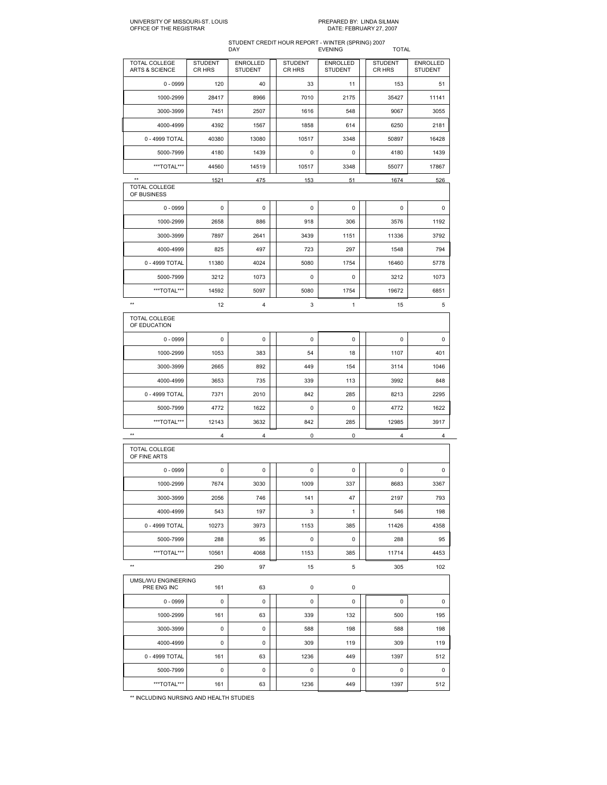## UNIVERSITY OF MISSOURIST. LOUIS PREPARED BY: LINDA SILMAN OFFICE OF THE REGISTRAR DATE: FEBRUARY 27, 2007

## STUDENT CREDIT HOUR REPORT WINTER (SPRING) 2007

|                                 |                          | STUDENT CREDIT HOUR REPORT - WINTER (SPRING) 2007<br>DAY |                          | <b>EVENING</b>                    | <b>TOTAL</b>             |                                   |
|---------------------------------|--------------------------|----------------------------------------------------------|--------------------------|-----------------------------------|--------------------------|-----------------------------------|
| TOTAL COLLEGE<br>ARTS & SCIENCE | <b>STUDENT</b><br>CR HRS | <b>ENROLLED</b><br><b>STUDENT</b>                        | <b>STUDENT</b><br>CR HRS | <b>ENROLLED</b><br><b>STUDENT</b> | <b>STUDENT</b><br>CR HRS | <b>ENROLLED</b><br><b>STUDENT</b> |
| $0 - 0999$                      | 120                      | 40                                                       | 33                       | 11                                | 153                      | 51                                |
| 1000-2999                       | 28417                    | 8966                                                     | 7010                     | 2175                              | 35427                    | 11141                             |
| 3000-3999                       | 7451                     | 2507                                                     | 1616                     | 548                               | 9067                     | 3055                              |
| 4000-4999                       | 4392                     | 1567                                                     | 1858                     | 614                               | 6250                     | 2181                              |
| 0 - 4999 TOTAL                  | 40380                    | 13080                                                    | 10517                    | 3348                              | 50897                    | 16428                             |
| 5000-7999                       | 4180                     | 1439                                                     | 0                        | 0                                 | 4180                     | 1439                              |
| ***TOTAL***                     | 44560                    | 14519                                                    | 10517                    | 3348                              | 55077                    | 17867                             |
| $^{\star\star}$                 | 1521                     | 475                                                      | 153                      | 51                                | 1674                     | 526                               |
| TOTAL COLLEGE<br>OF BUSINESS    |                          |                                                          |                          |                                   |                          |                                   |
| $0 - 0999$                      | 0                        | 0                                                        | 0                        | 0                                 | 0                        | 0                                 |
| 1000-2999                       | 2658                     | 886                                                      | 918                      | 306                               | 3576                     | 1192                              |
| 3000-3999                       | 7897                     | 2641                                                     | 3439                     | 1151                              | 11336                    | 3792                              |
| 4000-4999                       | 825                      | 497                                                      | 723                      | 297                               | 1548                     | 794                               |
| 0 - 4999 TOTAL                  | 11380                    | 4024                                                     | 5080                     | 1754                              | 16460                    | 5778                              |
| 5000-7999                       | 3212                     | 1073                                                     | 0                        | 0                                 | 3212                     | 1073                              |
| ***TOTAL***                     | 14592                    | 5097                                                     | 5080                     | 1754                              | 19672                    | 6851                              |
| $\star\star$                    | 12                       | 4                                                        | 3                        | $\mathbf{1}$                      | 15                       | 5                                 |
| TOTAL COLLEGE<br>OF EDUCATION   |                          |                                                          |                          |                                   |                          |                                   |
| $0 - 0999$                      | 0                        | 0                                                        | 0                        | 0                                 | 0                        | 0                                 |
| 1000-2999                       | 1053                     | 383                                                      | 54                       | 18                                | 1107                     | 401                               |
| 3000-3999                       | 2665                     | 892                                                      | 449                      | 154                               | 3114                     | 1046                              |
| 4000-4999                       | 3653                     | 735                                                      | 339                      | 113                               | 3992                     | 848                               |
| 0 - 4999 TOTAL                  | 7371                     | 2010                                                     | 842                      | 285                               | 8213                     | 2295                              |
| 5000-7999                       | 4772                     | 1622                                                     | 0                        | 0                                 | 4772                     | 1622                              |
| ***TOTAL***                     | 12143                    | 3632                                                     | 842                      | 285                               | 12985                    | 3917                              |
| **                              | 4                        | 4                                                        | $\pmb{0}$                | 0                                 | 4                        | 4                                 |
| TOTAL COLLEGE<br>OF FINE ARTS   |                          |                                                          |                          |                                   |                          |                                   |
| $0 - 0999$                      | 0                        | 0                                                        | 0                        | 0                                 | 0                        | 0                                 |
| 1000-2999                       | 7674                     | 3030                                                     | 1009                     | 337                               | 8683                     | 3367                              |
| 3000-3999                       | 2056                     | 746                                                      | 141                      | 47                                | 2197                     | 793                               |
| 4000-4999                       | 543                      | 197                                                      | 3                        | $\mathbf{1}$                      | 546                      | 198                               |
| 0 - 4999 TOTAL                  | 10273                    | 3973                                                     | 1153                     | 385                               | 11426                    | 4358                              |
| 5000-7999                       | 288                      | 95                                                       | 0                        | 0                                 | 288                      | 95                                |
| ***TOTAL***                     | 10561                    | 4068                                                     | 1153                     | 385                               | 11714                    | 4453                              |
| $\star\star$                    | 290                      | 97                                                       | 15                       | 5                                 | 305                      | 102                               |
| UMSL/WU ENGINEERING             |                          |                                                          |                          |                                   |                          |                                   |
| PRE ENG INC                     | 161                      | 63                                                       | 0                        | 0                                 |                          |                                   |
| $0 - 0999$                      | 0                        | 0                                                        | 0                        | 0                                 | $\mathbf 0$              | 0                                 |
| 1000-2999                       | 161                      | 63                                                       | 339                      | 132                               | 500                      | 195                               |
| 3000-3999                       | 0                        | 0                                                        | 588                      | 198                               | 588                      | 198                               |
| 4000-4999                       | 0                        | 0                                                        | 309                      | 119                               | 309                      | 119                               |
| 0 - 4999 TOTAL                  | 161                      | 63                                                       | 1236                     | 449                               | 1397                     | 512                               |
| 5000-7999                       | 0                        | 0                                                        | 0                        | 0                                 | 0                        | 0                                 |
| ***TOTAL***                     | 161                      | 63                                                       | 1236                     | 449                               | 1397                     | 512                               |

\*\* INCLUDING NURSING AND HEALTH STUDIES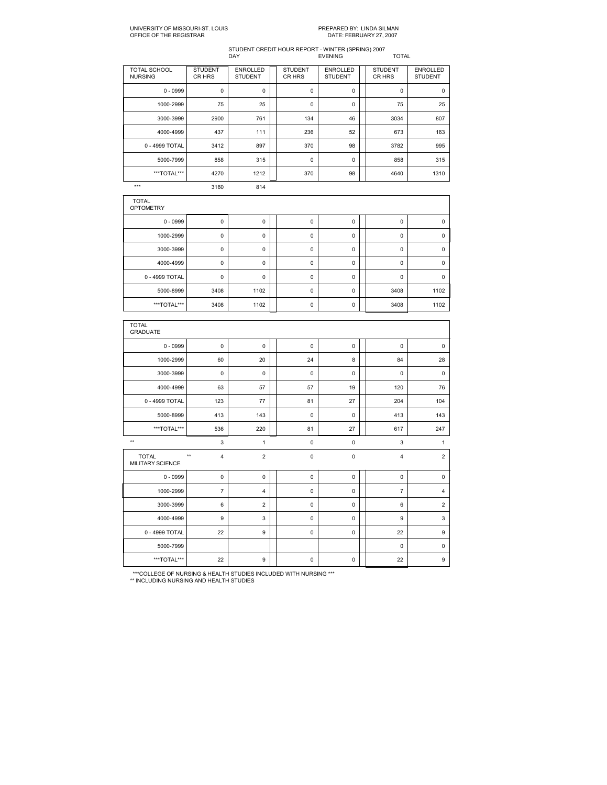## STUDENT CREDIT HOUR REPORT WINTER (SPRING) 2007 DAY EVENING TOTAL

| <b>TOTAL SCHOOL</b><br><b>NURSING</b> | <b>STUDENT</b><br>CR HRS | <b>ENROLLED</b><br><b>STUDENT</b> | <b>STUDENT</b><br>CR HRS | <b>ENROLLED</b><br><b>STUDENT</b> | <b>STUDENT</b><br>CR HRS | <b>ENROLLED</b><br><b>STUDENT</b> |
|---------------------------------------|--------------------------|-----------------------------------|--------------------------|-----------------------------------|--------------------------|-----------------------------------|
| $0 - 0999$                            | 0                        | 0                                 | 0                        | 0                                 | $\mathbf 0$              | $\mathbf 0$                       |
| 1000-2999                             | 75                       | 25                                | 0                        | 0                                 | 75                       | 25                                |
| 3000-3999                             | 2900                     | 761                               | 134                      | 46                                | 3034                     | 807                               |
| 4000-4999                             | 437                      | 111                               | 236                      | 52                                | 673                      | 163                               |
| 0 - 4999 TOTAL                        | 3412                     | 897                               | 370                      | 98                                | 3782                     | 995                               |
| 5000-7999                             | 858                      | 315                               | 0                        | 0                                 | 858                      | 315                               |
| ***TOTAL***                           | 4270                     | 1212                              | 370                      | 98                                | 4640                     | 1310                              |
| $***$                                 | 3160                     | 814                               |                          |                                   |                          |                                   |

| <b>TOTAL</b><br><b>OPTOMETRY</b> |             |          |             |   |          |             |
|----------------------------------|-------------|----------|-------------|---|----------|-------------|
| $0 - 0999$                       | 0           | 0        | $\mathbf 0$ | 0 | 0        | $\mathbf 0$ |
| 1000-2999                        | 0           | 0        | 0           | 0 | 0        |             |
| 3000-3999                        | 0           | 0        | $\mathbf 0$ | 0 | 0        | 0           |
| 4000-4999                        | 0           | 0        | 0           | 0 | $\Omega$ | $\Omega$    |
| 0 - 4999 TOTAL                   | $\mathbf 0$ | $\Omega$ | $\mathbf 0$ | 0 | $\Omega$ | $\Omega$    |
| 5000-8999                        | 3408        | 1102     | 0           | 0 | 3408     | 1102        |
| ***TOTAL***                      | 3408        | 1102     | 0           | 0 | 3408     | 1102        |

| <b>TOTAL</b><br><b>GRADUATE</b>         |                                 |                |             |             |                |                |
|-----------------------------------------|---------------------------------|----------------|-------------|-------------|----------------|----------------|
| $0 - 0999$                              | $\mathbf 0$                     | 0              | $\mathbf 0$ | $\mathbf 0$ | $\mathbf 0$    | $\mathbf 0$    |
| 1000-2999                               | 60                              | 20             | 24          | 8           | 84             | 28             |
| 3000-3999                               | $\mathbf 0$                     | $\mathbf 0$    | $\mathbf 0$ | $\mathbf 0$ | $\mathbf 0$    | $\mathbf 0$    |
| 4000-4999                               | 63                              | 57             | 57          | 19          | 120            | 76             |
| 0 - 4999 TOTAL                          | 123                             | 77             | 81          | 27          | 204            | 104            |
| 5000-8999                               | 413                             | 143            | $\mathbf 0$ | $\mathbf 0$ | 413            | 143            |
| ***TOTAL***                             | 536                             | 220            | 81          | 27          | 617            | 247            |
| $**$                                    | 3                               | 1              | $\pmb{0}$   | $\pmb{0}$   | 3              | 1              |
| <b>TOTAL</b><br><b>MILITARY SCIENCE</b> | $**$<br>$\overline{\mathbf{4}}$ | $\overline{2}$ | $\pmb{0}$   | $\pmb{0}$   | 4              | $\overline{2}$ |
| $0 - 0999$                              | $\mathbf 0$                     | $\mathbf 0$    | $\mathbf 0$ | $\mathbf 0$ | $\mathbf 0$    | $\mathbf 0$    |
| 1000-2999                               | $\overline{7}$                  | $\overline{4}$ | $\mathbf 0$ | $\mathbf 0$ | $\overline{7}$ | $\overline{4}$ |
| 3000-3999                               | 6                               | $\overline{2}$ | $\mathbf 0$ | $\mathbf 0$ | 6              | $\overline{2}$ |
| 4000-4999                               | 9                               | 3              | $\mathbf 0$ | $\mathbf 0$ | 9              | 3              |
| 0 - 4999 TOTAL                          | 22                              | 9              | $\mathbf 0$ | $\mathbf 0$ | 22             | 9              |
| 5000-7999                               |                                 |                |             |             | $\mathbf 0$    | $\mathbf 0$    |
| ***TOTAL***                             | 22                              | 9              | $\pmb{0}$   | $\mathsf 0$ | 22             | 9              |

\*\*\*COLLEGE OF NURSING & HEALTH STUDIES INCLUDED WITH NURSING \*\*\* \*\* INCLUDING NURSING AND HEALTH STUDIES